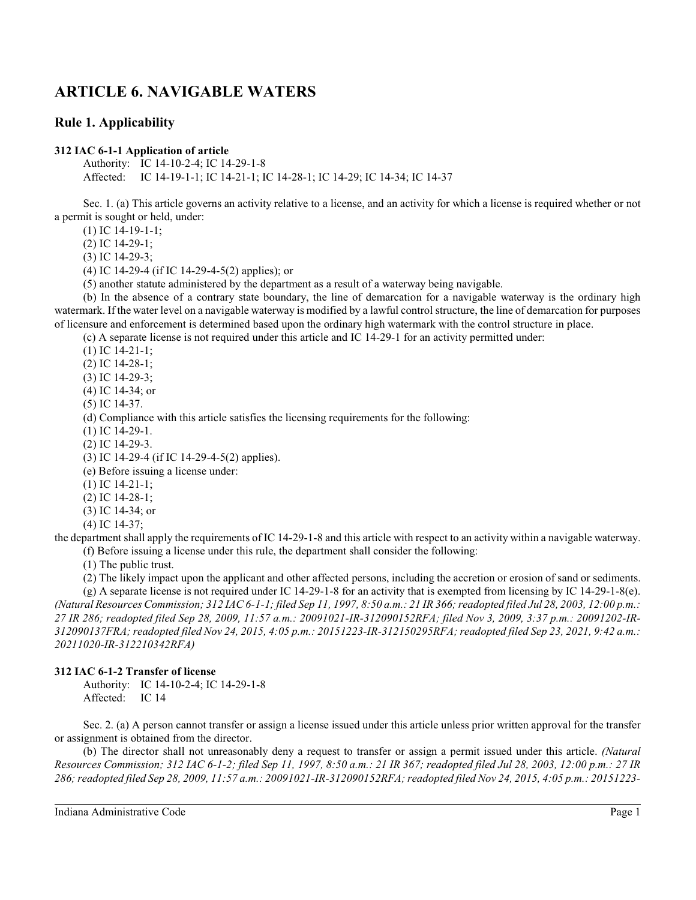# **ARTICLE 6. NAVIGABLE WATERS**

# **Rule 1. Applicability**

### **312 IAC 6-1-1 Application of article**

Authority: IC 14-10-2-4; IC 14-29-1-8 Affected: IC 14-19-1-1; IC 14-21-1; IC 14-28-1; IC 14-29; IC 14-34; IC 14-37

Sec. 1. (a) This article governs an activity relative to a license, and an activity for which a license is required whether or not a permit is sought or held, under:

(1) IC 14-19-1-1;

(2) IC 14-29-1;

(3) IC 14-29-3;

(4) IC 14-29-4 (if IC 14-29-4-5(2) applies); or

(5) another statute administered by the department as a result of a waterway being navigable.

(b) In the absence of a contrary state boundary, the line of demarcation for a navigable waterway is the ordinary high watermark. If the water level on a navigable waterway is modified by a lawful control structure, the line of demarcation for purposes of licensure and enforcement is determined based upon the ordinary high watermark with the control structure in place.

(c) A separate license is not required under this article and IC 14-29-1 for an activity permitted under:

(1) IC 14-21-1;

(2) IC 14-28-1;

(3) IC 14-29-3;

(4) IC 14-34; or

(5) IC 14-37.

(d) Compliance with this article satisfies the licensing requirements for the following:

(1) IC 14-29-1.

(2) IC 14-29-3.

(3) IC 14-29-4 (if IC 14-29-4-5(2) applies).

(e) Before issuing a license under:

(1) IC 14-21-1;

(2) IC 14-28-1;

(3) IC 14-34; or

(4) IC 14-37;

the department shall apply the requirements of IC 14-29-1-8 and this article with respect to an activity within a navigable waterway. (f) Before issuing a license under this rule, the department shall consider the following:

(1) The public trust.

(2) The likely impact upon the applicant and other affected persons, including the accretion or erosion of sand or sediments.

(g) A separate license is not required under IC 14-29-1-8 for an activity that is exempted from licensing by IC 14-29-1-8(e). *(Natural Resources Commission; 312 IAC 6-1-1; filed Sep 11, 1997, 8:50 a.m.: 21 IR 366;readopted filed Jul 28, 2003, 12:00 p.m.: 27 IR 286; readopted filed Sep 28, 2009, 11:57 a.m.: 20091021-IR-312090152RFA; filed Nov 3, 2009, 3:37 p.m.: 20091202-IR-312090137FRA; readopted filed Nov 24, 2015, 4:05 p.m.: 20151223-IR-312150295RFA; readopted filed Sep 23, 2021, 9:42 a.m.: 20211020-IR-312210342RFA)*

### **312 IAC 6-1-2 Transfer of license**

Authority: IC 14-10-2-4; IC 14-29-1-8 Affected: IC 14

Sec. 2. (a) A person cannot transfer or assign a license issued under this article unless prior written approval for the transfer or assignment is obtained from the director.

(b) The director shall not unreasonably deny a request to transfer or assign a permit issued under this article. *(Natural Resources Commission; 312 IAC 6-1-2; filed Sep 11, 1997, 8:50 a.m.: 21 IR 367; readopted filed Jul 28, 2003, 12:00 p.m.: 27 IR 286;readopted filed Sep 28, 2009, 11:57 a.m.: 20091021-IR-312090152RFA; readopted filed Nov 24, 2015, 4:05 p.m.: 20151223-*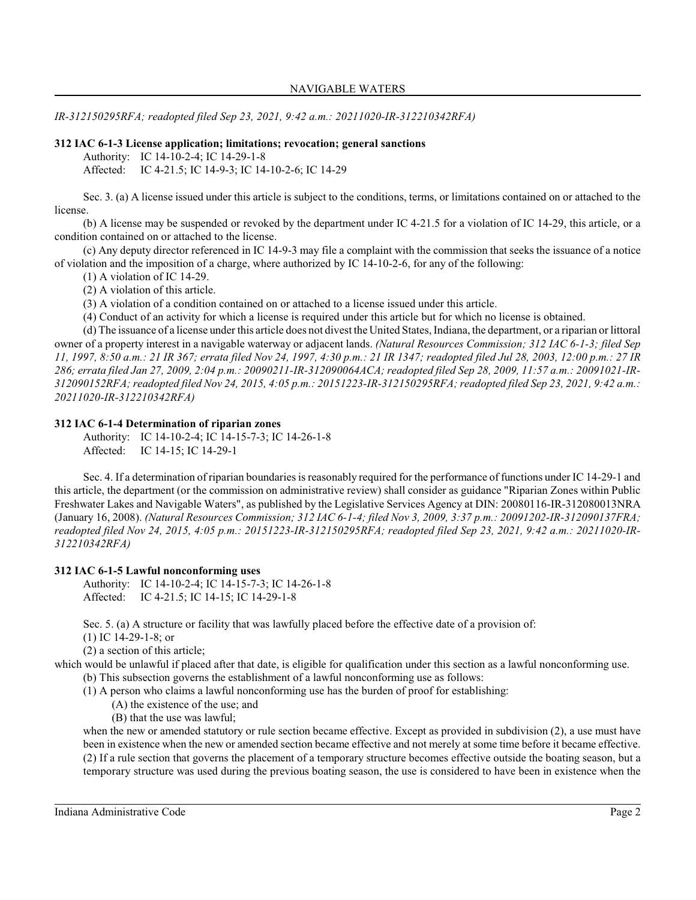*IR-312150295RFA; readopted filed Sep 23, 2021, 9:42 a.m.: 20211020-IR-312210342RFA)*

### **312 IAC 6-1-3 License application; limitations; revocation; general sanctions**

Authority: IC 14-10-2-4; IC 14-29-1-8

Affected: IC 4-21.5; IC 14-9-3; IC 14-10-2-6; IC 14-29

Sec. 3. (a) A license issued under this article is subject to the conditions, terms, or limitations contained on or attached to the license.

(b) A license may be suspended or revoked by the department under IC 4-21.5 for a violation of IC 14-29, this article, or a condition contained on or attached to the license.

(c) Any deputy director referenced in IC 14-9-3 may file a complaint with the commission that seeks the issuance of a notice of violation and the imposition of a charge, where authorized by IC 14-10-2-6, for any of the following:

(1) A violation of IC 14-29.

(2) A violation of this article.

(3) A violation of a condition contained on or attached to a license issued under this article.

(4) Conduct of an activity for which a license is required under this article but for which no license is obtained.

(d) The issuance of a license under this article does not divest the United States, Indiana, the department, or a riparian or littoral owner of a property interest in a navigable waterway or adjacent lands. *(Natural Resources Commission; 312 IAC 6-1-3; filed Sep 11, 1997, 8:50 a.m.: 21 IR 367; errata filed Nov 24, 1997, 4:30 p.m.: 21 IR 1347; readopted filed Jul 28, 2003, 12:00 p.m.: 27 IR 286; errata filed Jan 27, 2009, 2:04 p.m.: 20090211-IR-312090064ACA; readopted filed Sep 28, 2009, 11:57 a.m.: 20091021-IR-312090152RFA; readopted filed Nov 24, 2015, 4:05 p.m.: 20151223-IR-312150295RFA; readopted filed Sep 23, 2021, 9:42 a.m.: 20211020-IR-312210342RFA)*

### **312 IAC 6-1-4 Determination of riparian zones**

Authority: IC 14-10-2-4; IC 14-15-7-3; IC 14-26-1-8 Affected: IC 14-15; IC 14-29-1

Sec. 4. If a determination of riparian boundaries is reasonably required for the performance of functions under IC 14-29-1 and this article, the department (or the commission on administrative review) shall consider as guidance "Riparian Zones within Public Freshwater Lakes and Navigable Waters", as published by the Legislative Services Agency at DIN: 20080116-IR-312080013NRA (January 16, 2008). *(Natural Resources Commission; 312 IAC 6-1-4; filed Nov 3, 2009, 3:37 p.m.: 20091202-IR-312090137FRA; readopted filed Nov 24, 2015, 4:05 p.m.: 20151223-IR-312150295RFA; readopted filed Sep 23, 2021, 9:42 a.m.: 20211020-IR-312210342RFA)*

### **312 IAC 6-1-5 Lawful nonconforming uses**

Authority: IC 14-10-2-4; IC 14-15-7-3; IC 14-26-1-8 Affected: IC 4-21.5; IC 14-15; IC 14-29-1-8

Sec. 5. (a) A structure or facility that was lawfully placed before the effective date of a provision of:

(1) IC 14-29-1-8; or

(2) a section of this article;

which would be unlawful if placed after that date, is eligible for qualification under this section as a lawful nonconforming use.

(b) This subsection governs the establishment of a lawful nonconforming use as follows:

(1) A person who claims a lawful nonconforming use has the burden of proof for establishing:

- (A) the existence of the use; and
- (B) that the use was lawful;

when the new or amended statutory or rule section became effective. Except as provided in subdivision (2), a use must have been in existence when the new or amended section became effective and not merely at some time before it became effective. (2) If a rule section that governs the placement of a temporary structure becomes effective outside the boating season, but a temporary structure was used during the previous boating season, the use is considered to have been in existence when the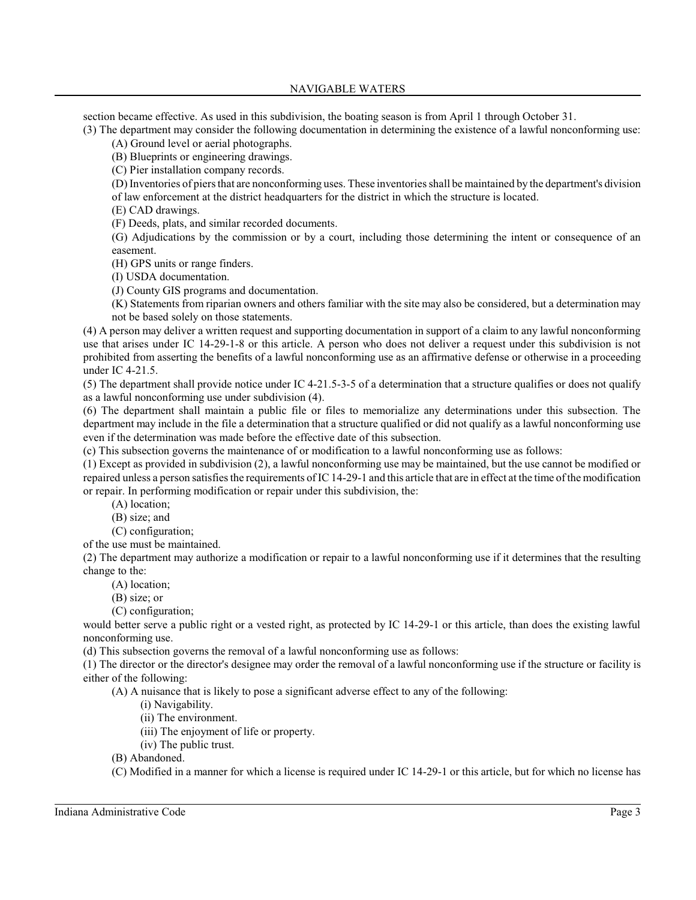section became effective. As used in this subdivision, the boating season is from April 1 through October 31.

(3) The department may consider the following documentation in determining the existence of a lawful nonconforming use:

(A) Ground level or aerial photographs.

(B) Blueprints or engineering drawings.

(C) Pier installation company records.

(D) Inventories of piers that are nonconforming uses. These inventories shall be maintained by the department's division of law enforcement at the district headquarters for the district in which the structure is located.

(E) CAD drawings.

(F) Deeds, plats, and similar recorded documents.

(G) Adjudications by the commission or by a court, including those determining the intent or consequence of an easement.

(H) GPS units or range finders.

(I) USDA documentation.

(J) County GIS programs and documentation.

(K) Statements from riparian owners and others familiar with the site may also be considered, but a determination may not be based solely on those statements.

(4) A person may deliver a written request and supporting documentation in support of a claim to any lawful nonconforming use that arises under IC 14-29-1-8 or this article. A person who does not deliver a request under this subdivision is not prohibited from asserting the benefits of a lawful nonconforming use as an affirmative defense or otherwise in a proceeding under IC 4-21.5.

(5) The department shall provide notice under IC 4-21.5-3-5 of a determination that a structure qualifies or does not qualify as a lawful nonconforming use under subdivision (4).

(6) The department shall maintain a public file or files to memorialize any determinations under this subsection. The department may include in the file a determination that a structure qualified or did not qualify as a lawful nonconforming use even if the determination was made before the effective date of this subsection.

(c) This subsection governs the maintenance of or modification to a lawful nonconforming use as follows:

(1) Except as provided in subdivision (2), a lawful nonconforming use may be maintained, but the use cannot be modified or repaired unless a person satisfies the requirements of IC 14-29-1 and this article that are in effect at the time of the modification or repair. In performing modification or repair under this subdivision, the:

(A) location;

- (B) size; and
- (C) configuration;

of the use must be maintained.

(2) The department may authorize a modification or repair to a lawful nonconforming use if it determines that the resulting change to the:

(A) location;

(B) size; or

(C) configuration;

would better serve a public right or a vested right, as protected by IC 14-29-1 or this article, than does the existing lawful nonconforming use.

(d) This subsection governs the removal of a lawful nonconforming use as follows:

(1) The director or the director's designee may order the removal of a lawful nonconforming use if the structure or facility is either of the following:

(A) A nuisance that is likely to pose a significant adverse effect to any of the following:

(i) Navigability.

(ii) The environment.

- (iii) The enjoyment of life or property.
- (iv) The public trust.
- (B) Abandoned.

(C) Modified in a manner for which a license is required under IC 14-29-1 or this article, but for which no license has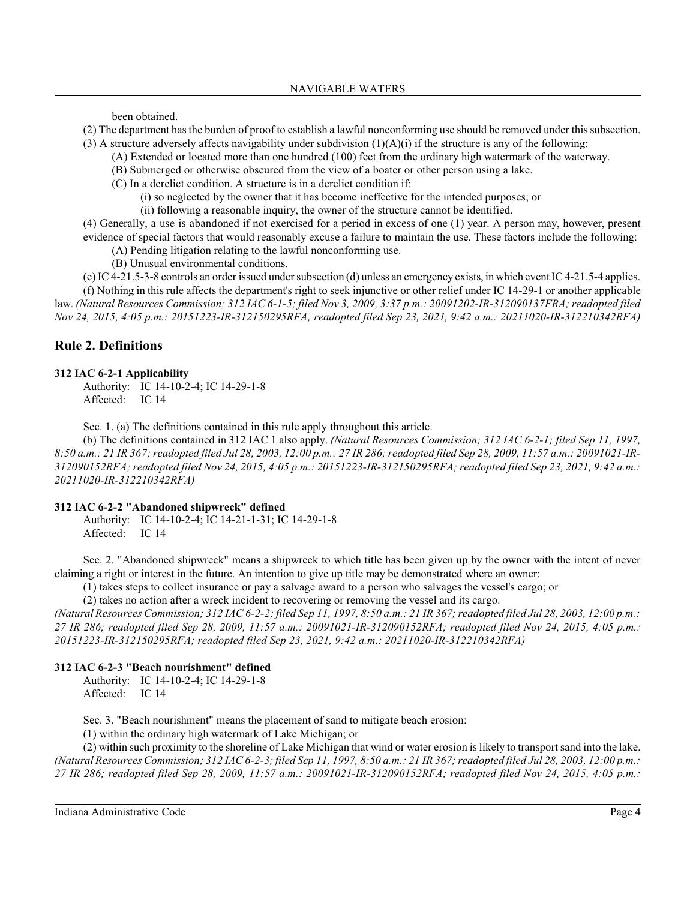been obtained.

- (2) The department has the burden of proof to establish a lawful nonconforming use should be removed under thissubsection.
- (3) A structure adversely affects navigability under subdivision  $(1)(A)(i)$  if the structure is any of the following:
	- (A) Extended or located more than one hundred (100) feet from the ordinary high watermark of the waterway.
	- (B) Submerged or otherwise obscured from the view of a boater or other person using a lake.
	- (C) In a derelict condition. A structure is in a derelict condition if:
		- (i) so neglected by the owner that it has become ineffective for the intended purposes; or
		- (ii) following a reasonable inquiry, the owner of the structure cannot be identified.

(4) Generally, a use is abandoned if not exercised for a period in excess of one (1) year. A person may, however, present evidence of special factors that would reasonably excuse a failure to maintain the use. These factors include the following:

- (A) Pending litigation relating to the lawful nonconforming use.
- (B) Unusual environmental conditions.

(e) IC 4-21.5-3-8 controls an order issued under subsection (d) unless an emergency exists, in which event IC 4-21.5-4 applies.

(f) Nothing in this rule affects the department's right to seek injunctive or other relief under IC 14-29-1 or another applicable law. *(Natural Resources Commission; 312 IAC 6-1-5; filed Nov 3, 2009, 3:37 p.m.: 20091202-IR-312090137FRA; readopted filed Nov 24, 2015, 4:05 p.m.: 20151223-IR-312150295RFA; readopted filed Sep 23, 2021, 9:42 a.m.: 20211020-IR-312210342RFA)*

# **Rule 2. Definitions**

#### **312 IAC 6-2-1 Applicability**

Authority: IC 14-10-2-4; IC 14-29-1-8 Affected: IC 14

Sec. 1. (a) The definitions contained in this rule apply throughout this article.

(b) The definitions contained in 312 IAC 1 also apply. *(Natural Resources Commission; 312 IAC 6-2-1; filed Sep 11, 1997,* 8:50 a.m.: 21 IR 367; readopted filed Jul 28, 2003, 12:00 p.m.: 27 IR 286; readopted filed Sep 28, 2009, 11:57 a.m.: 20091021-IR-*312090152RFA; readopted filed Nov 24, 2015, 4:05 p.m.: 20151223-IR-312150295RFA; readopted filed Sep 23, 2021, 9:42 a.m.: 20211020-IR-312210342RFA)*

### **312 IAC 6-2-2 "Abandoned shipwreck" defined**

Authority: IC 14-10-2-4; IC 14-21-1-31; IC 14-29-1-8 Affected: IC 14

Sec. 2. "Abandoned shipwreck" means a shipwreck to which title has been given up by the owner with the intent of never claiming a right or interest in the future. An intention to give up title may be demonstrated where an owner:

(1) takes steps to collect insurance or pay a salvage award to a person who salvages the vessel's cargo; or

(2) takes no action after a wreck incident to recovering or removing the vessel and its cargo.

*(Natural Resources Commission; 312 IAC 6-2-2; filed Sep 11, 1997, 8:50 a.m.: 21 IR 367;readopted filed Jul 28, 2003, 12:00 p.m.: 27 IR 286; readopted filed Sep 28, 2009, 11:57 a.m.: 20091021-IR-312090152RFA; readopted filed Nov 24, 2015, 4:05 p.m.: 20151223-IR-312150295RFA; readopted filed Sep 23, 2021, 9:42 a.m.: 20211020-IR-312210342RFA)*

### **312 IAC 6-2-3 "Beach nourishment" defined**

Authority: IC 14-10-2-4; IC 14-29-1-8 Affected: IC 14

Sec. 3. "Beach nourishment" means the placement of sand to mitigate beach erosion:

(1) within the ordinary high watermark of Lake Michigan; or

(2) within such proximity to the shoreline of Lake Michigan that wind or water erosion is likely to transport sand into the lake. *(Natural Resources Commission; 312 IAC 6-2-3; filed Sep 11, 1997, 8:50 a.m.: 21 IR 367;readopted filed Jul 28, 2003, 12:00 p.m.: 27 IR 286; readopted filed Sep 28, 2009, 11:57 a.m.: 20091021-IR-312090152RFA; readopted filed Nov 24, 2015, 4:05 p.m.:*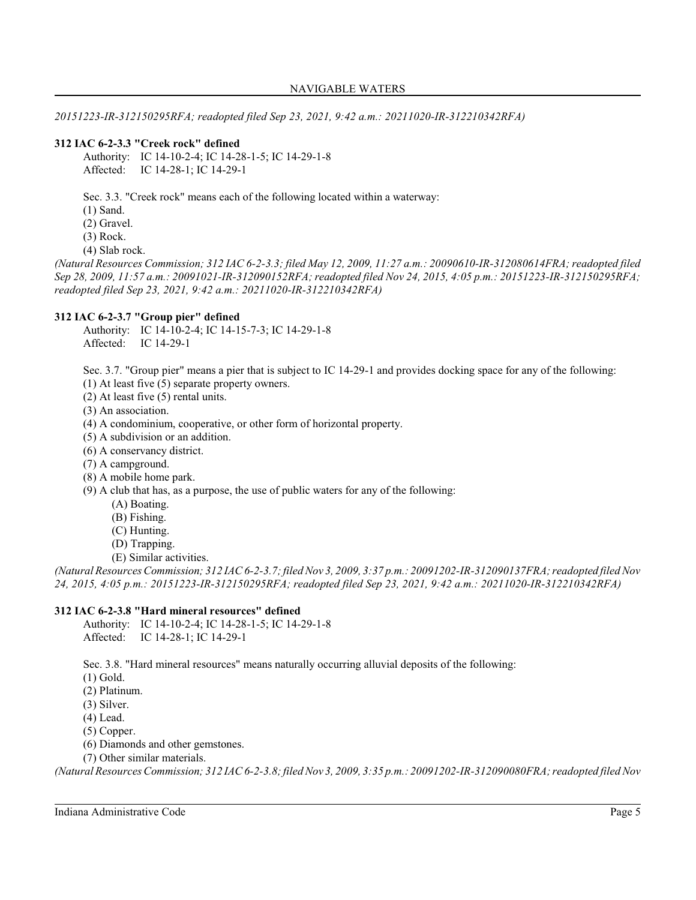*20151223-IR-312150295RFA; readopted filed Sep 23, 2021, 9:42 a.m.: 20211020-IR-312210342RFA)*

# **312 IAC 6-2-3.3 "Creek rock" defined**

Authority: IC 14-10-2-4; IC 14-28-1-5; IC 14-29-1-8 Affected: IC 14-28-1; IC 14-29-1

Sec. 3.3. "Creek rock" means each of the following located within a waterway:

- (1) Sand.
- (2) Gravel.
- (3) Rock.
- (4) Slab rock.

*(Natural Resources Commission; 312 IAC 6-2-3.3; filed May 12, 2009, 11:27 a.m.: 20090610-IR-312080614FRA; readopted filed Sep 28, 2009, 11:57 a.m.: 20091021-IR-312090152RFA; readopted filed Nov 24, 2015, 4:05 p.m.: 20151223-IR-312150295RFA; readopted filed Sep 23, 2021, 9:42 a.m.: 20211020-IR-312210342RFA)*

### **312 IAC 6-2-3.7 "Group pier" defined**

Authority: IC 14-10-2-4; IC 14-15-7-3; IC 14-29-1-8 Affected: IC 14-29-1

Sec. 3.7. "Group pier" means a pier that is subject to IC 14-29-1 and provides docking space for any of the following:

- (1) At least five (5) separate property owners.
- (2) At least five (5) rental units.
- (3) An association.
- (4) A condominium, cooperative, or other form of horizontal property.
- (5) A subdivision or an addition.
- (6) A conservancy district.
- (7) A campground.
- (8) A mobile home park.
- (9) A club that has, as a purpose, the use of public waters for any of the following:
	- (A) Boating.
	- (B) Fishing.
	- (C) Hunting.
	- (D) Trapping.
	- (E) Similar activities.

*(Natural Resources Commission; 312 IAC 6-2-3.7; filed Nov 3, 2009, 3:37 p.m.: 20091202-IR-312090137FRA; readopted filed Nov 24, 2015, 4:05 p.m.: 20151223-IR-312150295RFA; readopted filed Sep 23, 2021, 9:42 a.m.: 20211020-IR-312210342RFA)*

### **312 IAC 6-2-3.8 "Hard mineral resources" defined**

Authority: IC 14-10-2-4; IC 14-28-1-5; IC 14-29-1-8 Affected: IC 14-28-1; IC 14-29-1

Sec. 3.8. "Hard mineral resources" means naturally occurring alluvial deposits of the following:

- (1) Gold.
- (2) Platinum.
- (3) Silver.
- (4) Lead.
- (5) Copper.
- (6) Diamonds and other gemstones.
- (7) Other similar materials.

*(Natural Resources Commission; 312 IAC 6-2-3.8; filed Nov 3, 2009, 3:35 p.m.: 20091202-IR-312090080FRA; readopted filed Nov*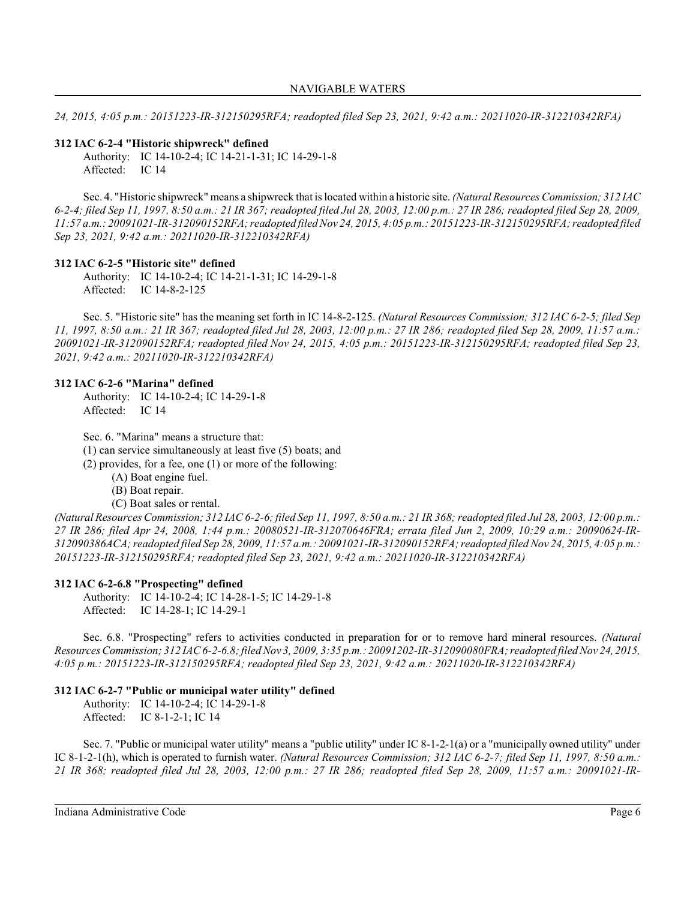*24, 2015, 4:05 p.m.: 20151223-IR-312150295RFA; readopted filed Sep 23, 2021, 9:42 a.m.: 20211020-IR-312210342RFA)*

### **312 IAC 6-2-4 "Historic shipwreck" defined**

Authority: IC 14-10-2-4; IC 14-21-1-31; IC 14-29-1-8 Affected: IC 14

Sec. 4. "Historic shipwreck" means a shipwreck that is located within a historic site. *(Natural Resources Commission; 312 IAC 6-2-4; filed Sep 11, 1997, 8:50 a.m.: 21 IR 367; readopted filed Jul 28, 2003, 12:00 p.m.: 27 IR 286; readopted filed Sep 28, 2009, 11:57 a.m.: 20091021-IR-312090152RFA; readopted filed Nov 24, 2015, 4:05 p.m.: 20151223-IR-312150295RFA; readopted filed Sep 23, 2021, 9:42 a.m.: 20211020-IR-312210342RFA)*

#### **312 IAC 6-2-5 "Historic site" defined**

Authority: IC 14-10-2-4; IC 14-21-1-31; IC 14-29-1-8 Affected: IC 14-8-2-125

Sec. 5. "Historic site" has the meaning set forth in IC 14-8-2-125. *(Natural Resources Commission; 312 IAC 6-2-5; filed Sep 11, 1997, 8:50 a.m.: 21 IR 367; readopted filed Jul 28, 2003, 12:00 p.m.: 27 IR 286; readopted filed Sep 28, 2009, 11:57 a.m.: 20091021-IR-312090152RFA; readopted filed Nov 24, 2015, 4:05 p.m.: 20151223-IR-312150295RFA; readopted filed Sep 23, 2021, 9:42 a.m.: 20211020-IR-312210342RFA)*

#### **312 IAC 6-2-6 "Marina" defined**

Authority: IC 14-10-2-4; IC 14-29-1-8 Affected: IC 14

Sec. 6. "Marina" means a structure that:

(1) can service simultaneously at least five (5) boats; and

(2) provides, for a fee, one (1) or more of the following:

(A) Boat engine fuel.

(B) Boat repair.

(C) Boat sales or rental.

*(Natural Resources Commission; 312 IAC 6-2-6; filed Sep 11, 1997, 8:50 a.m.: 21 IR 368;readopted filed Jul 28, 2003, 12:00 p.m.: 27 IR 286; filed Apr 24, 2008, 1:44 p.m.: 20080521-IR-312070646FRA; errata filed Jun 2, 2009, 10:29 a.m.: 20090624-IR-312090386ACA;readopted filed Sep 28, 2009, 11:57 a.m.: 20091021-IR-312090152RFA; readopted filed Nov 24, 2015, 4:05 p.m.: 20151223-IR-312150295RFA; readopted filed Sep 23, 2021, 9:42 a.m.: 20211020-IR-312210342RFA)*

### **312 IAC 6-2-6.8 "Prospecting" defined**

Authority: IC 14-10-2-4; IC 14-28-1-5; IC 14-29-1-8 Affected: IC 14-28-1; IC 14-29-1

Sec. 6.8. "Prospecting" refers to activities conducted in preparation for or to remove hard mineral resources. *(Natural Resources Commission; 312 IAC 6-2-6.8; filed Nov 3, 2009, 3:35 p.m.: 20091202-IR-312090080FRA; readopted filed Nov 24, 2015, 4:05 p.m.: 20151223-IR-312150295RFA; readopted filed Sep 23, 2021, 9:42 a.m.: 20211020-IR-312210342RFA)*

#### **312 IAC 6-2-7 "Public or municipal water utility" defined**

Authority: IC 14-10-2-4; IC 14-29-1-8 Affected: IC 8-1-2-1; IC 14

Sec. 7. "Public or municipal water utility" means a "public utility" under IC 8-1-2-1(a) or a "municipally owned utility" under IC 8-1-2-1(h), which is operated to furnish water. *(Natural Resources Commission; 312 IAC 6-2-7; filed Sep 11, 1997, 8:50 a.m.: 21 IR 368; readopted filed Jul 28, 2003, 12:00 p.m.: 27 IR 286; readopted filed Sep 28, 2009, 11:57 a.m.: 20091021-IR-*

Indiana Administrative Code Page 6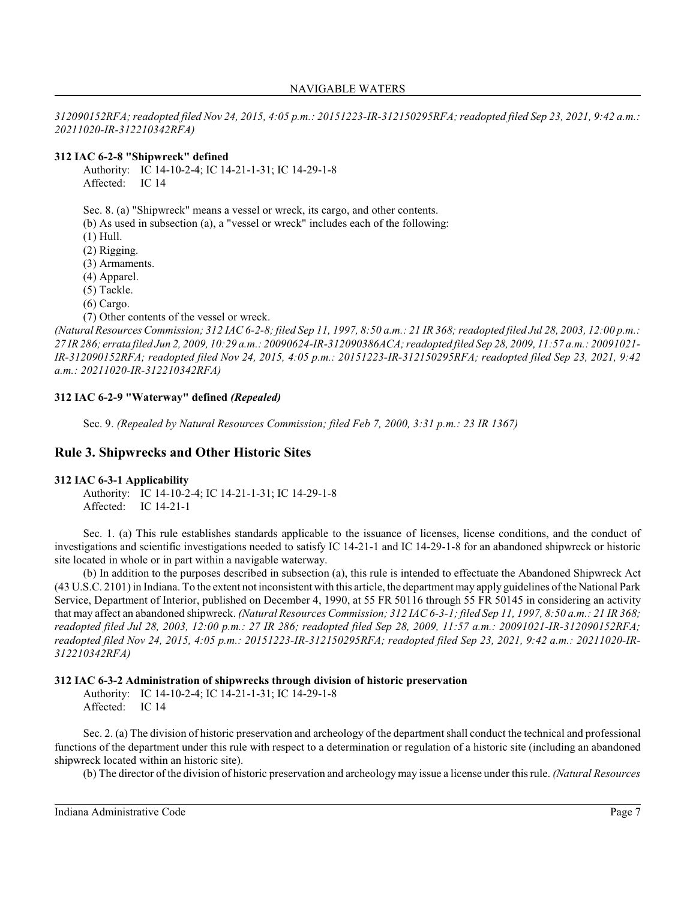*312090152RFA; readopted filed Nov 24, 2015, 4:05 p.m.: 20151223-IR-312150295RFA; readopted filed Sep 23, 2021, 9:42 a.m.: 20211020-IR-312210342RFA)*

### **312 IAC 6-2-8 "Shipwreck" defined**

Authority: IC 14-10-2-4; IC 14-21-1-31; IC 14-29-1-8 Affected: IC 14

Sec. 8. (a) "Shipwreck" means a vessel or wreck, its cargo, and other contents.

(b) As used in subsection (a), a "vessel or wreck" includes each of the following:

- (1) Hull.
- (2) Rigging.

(3) Armaments.

(4) Apparel.

(5) Tackle.

(6) Cargo.

(7) Other contents of the vessel or wreck.

*(Natural Resources Commission; 312 IAC 6-2-8; filed Sep 11, 1997, 8:50 a.m.: 21 IR 368;readopted filed Jul 28, 2003, 12:00 p.m.: 27 IR 286; errata filed Jun 2, 2009, 10:29 a.m.: 20090624-IR-312090386ACA; readopted filed Sep 28, 2009, 11:57 a.m.: 20091021- IR-312090152RFA; readopted filed Nov 24, 2015, 4:05 p.m.: 20151223-IR-312150295RFA; readopted filed Sep 23, 2021, 9:42 a.m.: 20211020-IR-312210342RFA)*

### **312 IAC 6-2-9 "Waterway" defined** *(Repealed)*

Sec. 9. *(Repealed by Natural Resources Commission; filed Feb 7, 2000, 3:31 p.m.: 23 IR 1367)*

# **Rule 3. Shipwrecks and Other Historic Sites**

### **312 IAC 6-3-1 Applicability**

Authority: IC 14-10-2-4; IC 14-21-1-31; IC 14-29-1-8 Affected: IC 14-21-1

Sec. 1. (a) This rule establishes standards applicable to the issuance of licenses, license conditions, and the conduct of investigations and scientific investigations needed to satisfy IC 14-21-1 and IC 14-29-1-8 for an abandoned shipwreck or historic site located in whole or in part within a navigable waterway.

(b) In addition to the purposes described in subsection (a), this rule is intended to effectuate the Abandoned Shipwreck Act (43 U.S.C. 2101) in Indiana. To the extent not inconsistent with this article, the department may apply guidelines of the National Park Service, Department of Interior, published on December 4, 1990, at 55 FR 50116 through 55 FR 50145 in considering an activity that may affect an abandoned shipwreck. *(Natural Resources Commission; 312 IAC 6-3-1; filed Sep 11, 1997, 8:50 a.m.: 21 IR 368; readopted filed Jul 28, 2003, 12:00 p.m.: 27 IR 286; readopted filed Sep 28, 2009, 11:57 a.m.: 20091021-IR-312090152RFA; readopted filed Nov 24, 2015, 4:05 p.m.: 20151223-IR-312150295RFA; readopted filed Sep 23, 2021, 9:42 a.m.: 20211020-IR-312210342RFA)*

### **312 IAC 6-3-2 Administration of shipwrecks through division of historic preservation**

Authority: IC 14-10-2-4; IC 14-21-1-31; IC 14-29-1-8 Affected: IC 14

Sec. 2. (a) The division of historic preservation and archeology of the department shall conduct the technical and professional functions of the department under this rule with respect to a determination or regulation of a historic site (including an abandoned shipwreck located within an historic site).

(b) The director of the division of historic preservation and archeology may issue a license under thisrule. *(Natural Resources*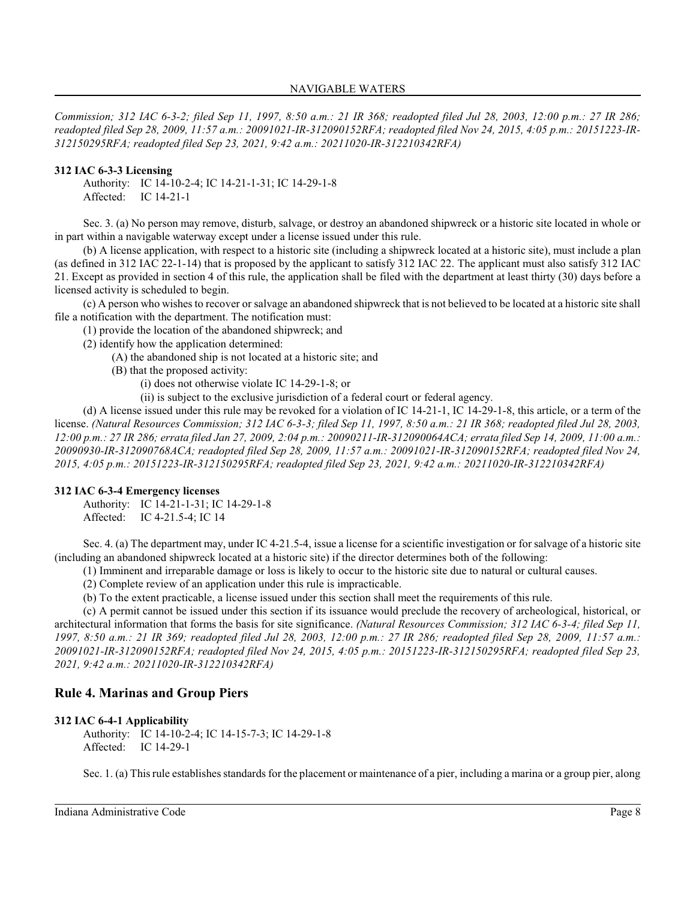*Commission; 312 IAC 6-3-2; filed Sep 11, 1997, 8:50 a.m.: 21 IR 368; readopted filed Jul 28, 2003, 12:00 p.m.: 27 IR 286; readopted filed Sep 28, 2009, 11:57 a.m.: 20091021-IR-312090152RFA; readopted filed Nov 24, 2015, 4:05 p.m.: 20151223-IR-312150295RFA; readopted filed Sep 23, 2021, 9:42 a.m.: 20211020-IR-312210342RFA)*

### **312 IAC 6-3-3 Licensing**

Authority: IC 14-10-2-4; IC 14-21-1-31; IC 14-29-1-8 Affected: IC 14-21-1

Sec. 3. (a) No person may remove, disturb, salvage, or destroy an abandoned shipwreck or a historic site located in whole or in part within a navigable waterway except under a license issued under this rule.

(b) A license application, with respect to a historic site (including a shipwreck located at a historic site), must include a plan (as defined in 312 IAC 22-1-14) that is proposed by the applicant to satisfy 312 IAC 22. The applicant must also satisfy 312 IAC 21. Except as provided in section 4 of this rule, the application shall be filed with the department at least thirty (30) days before a licensed activity is scheduled to begin.

(c) A person who wishes to recover or salvage an abandoned shipwreck that is not believed to be located at a historic site shall file a notification with the department. The notification must:

(1) provide the location of the abandoned shipwreck; and

(2) identify how the application determined:

- (A) the abandoned ship is not located at a historic site; and
- (B) that the proposed activity:
	- (i) does not otherwise violate IC 14-29-1-8; or
	- (ii) is subject to the exclusive jurisdiction of a federal court or federal agency.

(d) A license issued under this rule may be revoked for a violation of IC 14-21-1, IC 14-29-1-8, this article, or a term of the license. *(Natural Resources Commission; 312 IAC 6-3-3; filed Sep 11, 1997, 8:50 a.m.: 21 IR 368; readopted filed Jul 28, 2003, 12:00 p.m.: 27 IR 286; errata filed Jan 27, 2009, 2:04 p.m.: 20090211-IR-312090064ACA; errata filed Sep 14, 2009, 11:00 a.m.: 20090930-IR-312090768ACA; readopted filed Sep 28, 2009, 11:57 a.m.: 20091021-IR-312090152RFA; readopted filed Nov 24, 2015, 4:05 p.m.: 20151223-IR-312150295RFA; readopted filed Sep 23, 2021, 9:42 a.m.: 20211020-IR-312210342RFA)*

### **312 IAC 6-3-4 Emergency licenses**

Authority: IC 14-21-1-31; IC 14-29-1-8 Affected: IC 4-21.5-4; IC 14

Sec. 4. (a) The department may, under IC 4-21.5-4, issue a license for a scientific investigation or for salvage of a historic site (including an abandoned shipwreck located at a historic site) if the director determines both of the following:

(1) Imminent and irreparable damage or loss is likely to occur to the historic site due to natural or cultural causes.

(2) Complete review of an application under this rule is impracticable.

(b) To the extent practicable, a license issued under this section shall meet the requirements of this rule.

(c) A permit cannot be issued under this section if its issuance would preclude the recovery of archeological, historical, or architectural information that forms the basis for site significance. *(Natural Resources Commission; 312 IAC 6-3-4; filed Sep 11, 1997, 8:50 a.m.: 21 IR 369; readopted filed Jul 28, 2003, 12:00 p.m.: 27 IR 286; readopted filed Sep 28, 2009, 11:57 a.m.: 20091021-IR-312090152RFA; readopted filed Nov 24, 2015, 4:05 p.m.: 20151223-IR-312150295RFA; readopted filed Sep 23, 2021, 9:42 a.m.: 20211020-IR-312210342RFA)*

### **Rule 4. Marinas and Group Piers**

### **312 IAC 6-4-1 Applicability**

Authority: IC 14-10-2-4; IC 14-15-7-3; IC 14-29-1-8 Affected: IC 14-29-1

Sec. 1. (a) Thisrule establishes standards for the placement or maintenance of a pier, including a marina or a group pier, along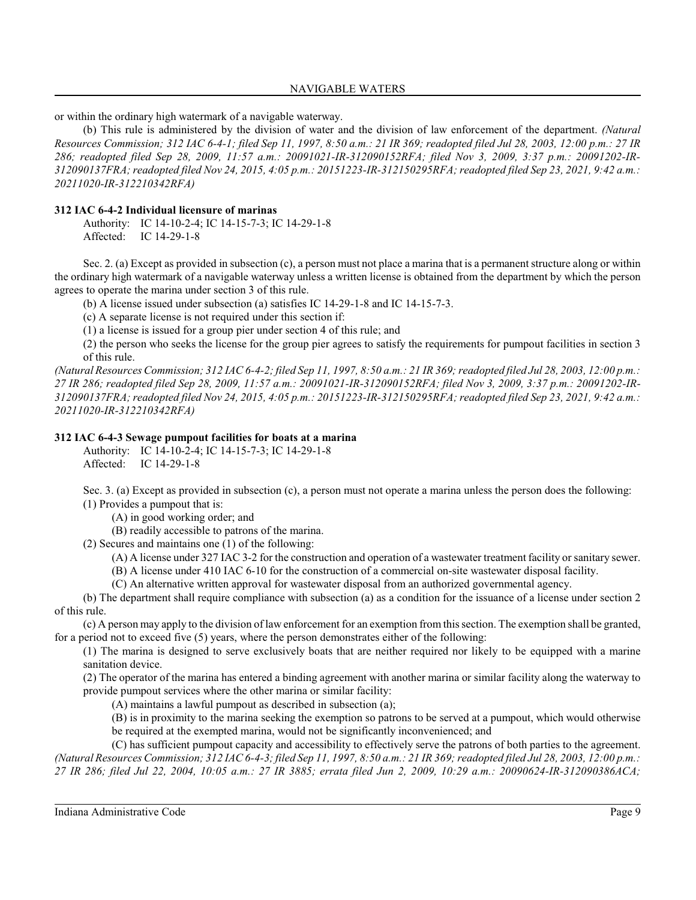or within the ordinary high watermark of a navigable waterway.

(b) This rule is administered by the division of water and the division of law enforcement of the department. *(Natural Resources Commission; 312 IAC 6-4-1; filed Sep 11, 1997, 8:50 a.m.: 21 IR 369; readopted filed Jul 28, 2003, 12:00 p.m.: 27 IR 286; readopted filed Sep 28, 2009, 11:57 a.m.: 20091021-IR-312090152RFA; filed Nov 3, 2009, 3:37 p.m.: 20091202-IR-312090137FRA; readopted filed Nov 24, 2015, 4:05 p.m.: 20151223-IR-312150295RFA; readopted filed Sep 23, 2021, 9:42 a.m.: 20211020-IR-312210342RFA)*

### **312 IAC 6-4-2 Individual licensure of marinas**

Authority: IC 14-10-2-4; IC 14-15-7-3; IC 14-29-1-8 Affected: IC 14-29-1-8

Sec. 2. (a) Except as provided in subsection (c), a person must not place a marina that is a permanent structure along or within the ordinary high watermark of a navigable waterway unless a written license is obtained from the department by which the person agrees to operate the marina under section 3 of this rule.

(b) A license issued under subsection (a) satisfies IC 14-29-1-8 and IC 14-15-7-3.

(c) A separate license is not required under this section if:

(1) a license is issued for a group pier under section 4 of this rule; and

(2) the person who seeks the license for the group pier agrees to satisfy the requirements for pumpout facilities in section 3 of this rule.

*(Natural Resources Commission; 312 IAC 6-4-2; filed Sep 11, 1997, 8:50 a.m.: 21 IR 369;readopted filed Jul 28, 2003, 12:00 p.m.: 27 IR 286; readopted filed Sep 28, 2009, 11:57 a.m.: 20091021-IR-312090152RFA; filed Nov 3, 2009, 3:37 p.m.: 20091202-IR-312090137FRA; readopted filed Nov 24, 2015, 4:05 p.m.: 20151223-IR-312150295RFA; readopted filed Sep 23, 2021, 9:42 a.m.: 20211020-IR-312210342RFA)*

### **312 IAC 6-4-3 Sewage pumpout facilities for boats at a marina**

Authority: IC 14-10-2-4; IC 14-15-7-3; IC 14-29-1-8 Affected: IC 14-29-1-8

Sec. 3. (a) Except as provided in subsection (c), a person must not operate a marina unless the person does the following: (1) Provides a pumpout that is:

(A) in good working order; and

(B) readily accessible to patrons of the marina.

(2) Secures and maintains one (1) of the following:

(A) A license under 327 IAC 3-2 for the construction and operation of a wastewater treatment facility or sanitary sewer.

(B) A license under 410 IAC 6-10 for the construction of a commercial on-site wastewater disposal facility.

(C) An alternative written approval for wastewater disposal from an authorized governmental agency.

(b) The department shall require compliance with subsection (a) as a condition for the issuance of a license under section 2 of this rule.

(c) A person may apply to the division of law enforcement for an exemption from thissection. The exemption shall be granted, for a period not to exceed five  $(5)$  years, where the person demonstrates either of the following:

(1) The marina is designed to serve exclusively boats that are neither required nor likely to be equipped with a marine sanitation device.

(2) The operator of the marina has entered a binding agreement with another marina or similar facility along the waterway to provide pumpout services where the other marina or similar facility:

(A) maintains a lawful pumpout as described in subsection (a);

(B) is in proximity to the marina seeking the exemption so patrons to be served at a pumpout, which would otherwise be required at the exempted marina, would not be significantly inconvenienced; and

(C) has sufficient pumpout capacity and accessibility to effectively serve the patrons of both parties to the agreement. *(Natural Resources Commission; 312 IAC 6-4-3; filed Sep 11, 1997, 8:50 a.m.: 21 IR 369;readopted filed Jul 28, 2003, 12:00 p.m.: 27 IR 286; filed Jul 22, 2004, 10:05 a.m.: 27 IR 3885; errata filed Jun 2, 2009, 10:29 a.m.: 20090624-IR-312090386ACA;*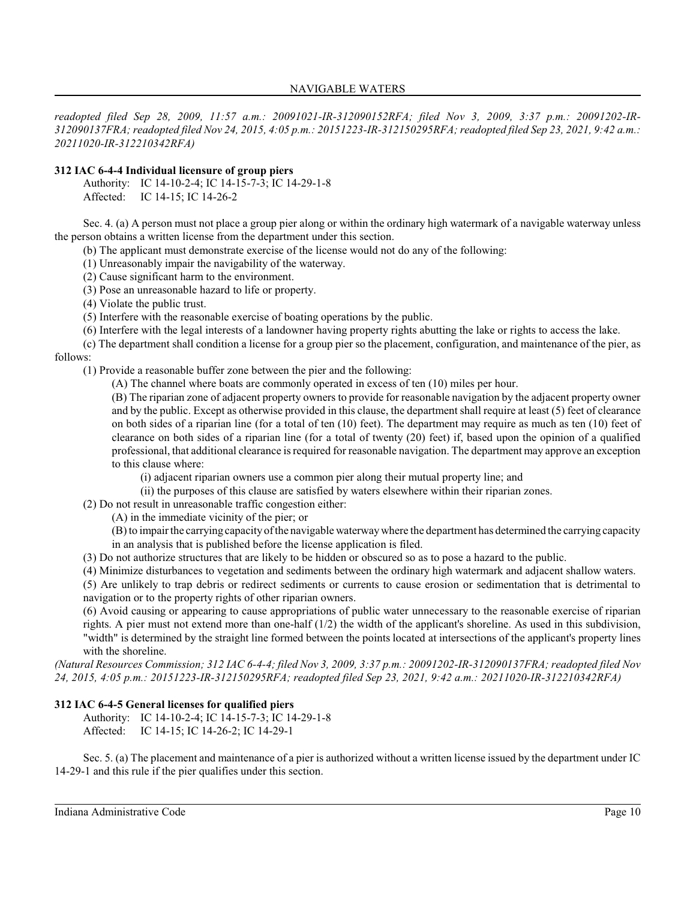*readopted filed Sep 28, 2009, 11:57 a.m.: 20091021-IR-312090152RFA; filed Nov 3, 2009, 3:37 p.m.: 20091202-IR-312090137FRA; readopted filed Nov 24, 2015, 4:05 p.m.: 20151223-IR-312150295RFA; readopted filed Sep 23, 2021, 9:42 a.m.: 20211020-IR-312210342RFA)*

### **312 IAC 6-4-4 Individual licensure of group piers**

Authority: IC 14-10-2-4; IC 14-15-7-3; IC 14-29-1-8 Affected: IC 14-15; IC 14-26-2

Sec. 4. (a) A person must not place a group pier along or within the ordinary high watermark of a navigable waterway unless the person obtains a written license from the department under this section.

(b) The applicant must demonstrate exercise of the license would not do any of the following:

(1) Unreasonably impair the navigability of the waterway.

(2) Cause significant harm to the environment.

(3) Pose an unreasonable hazard to life or property.

(4) Violate the public trust.

(5) Interfere with the reasonable exercise of boating operations by the public.

(6) Interfere with the legal interests of a landowner having property rights abutting the lake or rights to access the lake.

(c) The department shall condition a license for a group pier so the placement, configuration, and maintenance of the pier, as follows:

(1) Provide a reasonable buffer zone between the pier and the following:

(A) The channel where boats are commonly operated in excess of ten (10) miles per hour.

(B) The riparian zone of adjacent property owners to provide for reasonable navigation by the adjacent property owner and by the public. Except as otherwise provided in this clause, the department shall require at least (5) feet of clearance on both sides of a riparian line (for a total of ten (10) feet). The department may require as much as ten (10) feet of clearance on both sides of a riparian line (for a total of twenty (20) feet) if, based upon the opinion of a qualified professional, that additional clearance is required for reasonable navigation. The department may approve an exception to this clause where:

(i) adjacent riparian owners use a common pier along their mutual property line; and

(ii) the purposes of this clause are satisfied by waters elsewhere within their riparian zones.

(2) Do not result in unreasonable traffic congestion either:

(A) in the immediate vicinity of the pier; or

(B) to impairthe carrying capacityof the navigable waterwaywhere the department has determined the carrying capacity in an analysis that is published before the license application is filed.

(3) Do not authorize structures that are likely to be hidden or obscured so as to pose a hazard to the public.

(4) Minimize disturbances to vegetation and sediments between the ordinary high watermark and adjacent shallow waters.

(5) Are unlikely to trap debris or redirect sediments or currents to cause erosion or sedimentation that is detrimental to navigation or to the property rights of other riparian owners.

(6) Avoid causing or appearing to cause appropriations of public water unnecessary to the reasonable exercise of riparian rights. A pier must not extend more than one-half  $(1/2)$  the width of the applicant's shoreline. As used in this subdivision, "width" is determined by the straight line formed between the points located at intersections of the applicant's property lines with the shoreline.

*(Natural Resources Commission; 312 IAC 6-4-4; filed Nov 3, 2009, 3:37 p.m.: 20091202-IR-312090137FRA; readopted filed Nov 24, 2015, 4:05 p.m.: 20151223-IR-312150295RFA; readopted filed Sep 23, 2021, 9:42 a.m.: 20211020-IR-312210342RFA)*

### **312 IAC 6-4-5 General licenses for qualified piers**

Authority: IC 14-10-2-4; IC 14-15-7-3; IC 14-29-1-8 Affected: IC 14-15; IC 14-26-2; IC 14-29-1

Sec. 5. (a) The placement and maintenance of a pier is authorized without a written license issued by the department under IC 14-29-1 and this rule if the pier qualifies under this section.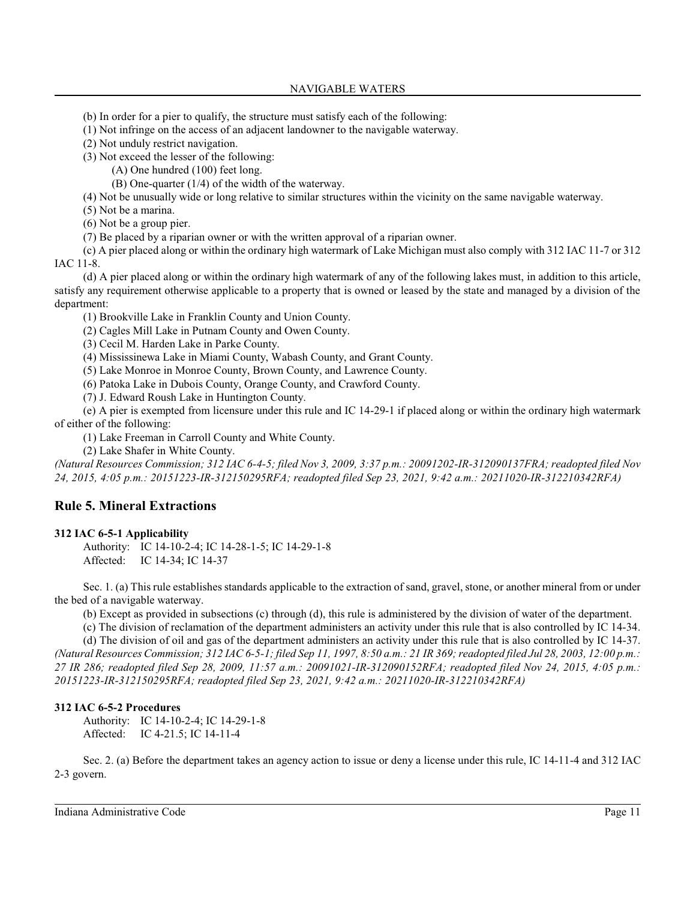- (b) In order for a pier to qualify, the structure must satisfy each of the following:
- (1) Not infringe on the access of an adjacent landowner to the navigable waterway.
- (2) Not unduly restrict navigation.

(3) Not exceed the lesser of the following:

- (A) One hundred (100) feet long.
- (B) One-quarter (1/4) of the width of the waterway.
- (4) Not be unusually wide or long relative to similar structures within the vicinity on the same navigable waterway.
- (5) Not be a marina.
- (6) Not be a group pier.
- (7) Be placed by a riparian owner or with the written approval of a riparian owner.

(c) A pier placed along or within the ordinary high watermark of Lake Michigan must also comply with 312 IAC 11-7 or 312 IAC 11-8.

(d) A pier placed along or within the ordinary high watermark of any of the following lakes must, in addition to this article, satisfy any requirement otherwise applicable to a property that is owned or leased by the state and managed by a division of the department:

(1) Brookville Lake in Franklin County and Union County.

(2) Cagles Mill Lake in Putnam County and Owen County.

(3) Cecil M. Harden Lake in Parke County.

(4) Mississinewa Lake in Miami County, Wabash County, and Grant County.

(5) Lake Monroe in Monroe County, Brown County, and Lawrence County.

(6) Patoka Lake in Dubois County, Orange County, and Crawford County.

(7) J. Edward Roush Lake in Huntington County.

(e) A pier is exempted from licensure under this rule and IC 14-29-1 if placed along or within the ordinary high watermark of either of the following:

(1) Lake Freeman in Carroll County and White County.

(2) Lake Shafer in White County.

*(Natural Resources Commission; 312 IAC 6-4-5; filed Nov 3, 2009, 3:37 p.m.: 20091202-IR-312090137FRA; readopted filed Nov 24, 2015, 4:05 p.m.: 20151223-IR-312150295RFA; readopted filed Sep 23, 2021, 9:42 a.m.: 20211020-IR-312210342RFA)*

# **Rule 5. Mineral Extractions**

### **312 IAC 6-5-1 Applicability**

Authority: IC 14-10-2-4; IC 14-28-1-5; IC 14-29-1-8 Affected: IC 14-34; IC 14-37

Sec. 1. (a) Thisrule establishes standards applicable to the extraction of sand, gravel, stone, or another mineral from or under the bed of a navigable waterway.

(b) Except as provided in subsections (c) through (d), this rule is administered by the division of water of the department.

(c) The division of reclamation of the department administers an activity under this rule that is also controlled by IC 14-34.

(d) The division of oil and gas of the department administers an activity under this rule that is also controlled by IC 14-37. *(Natural Resources Commission; 312 IAC 6-5-1; filed Sep 11, 1997, 8:50 a.m.: 21 IR 369;readopted filed Jul 28, 2003, 12:00 p.m.: 27 IR 286; readopted filed Sep 28, 2009, 11:57 a.m.: 20091021-IR-312090152RFA; readopted filed Nov 24, 2015, 4:05 p.m.: 20151223-IR-312150295RFA; readopted filed Sep 23, 2021, 9:42 a.m.: 20211020-IR-312210342RFA)*

### **312 IAC 6-5-2 Procedures**

Authority: IC 14-10-2-4; IC 14-29-1-8 Affected: IC 4-21.5; IC 14-11-4

Sec. 2. (a) Before the department takes an agency action to issue or deny a license under this rule, IC 14-11-4 and 312 IAC 2-3 govern.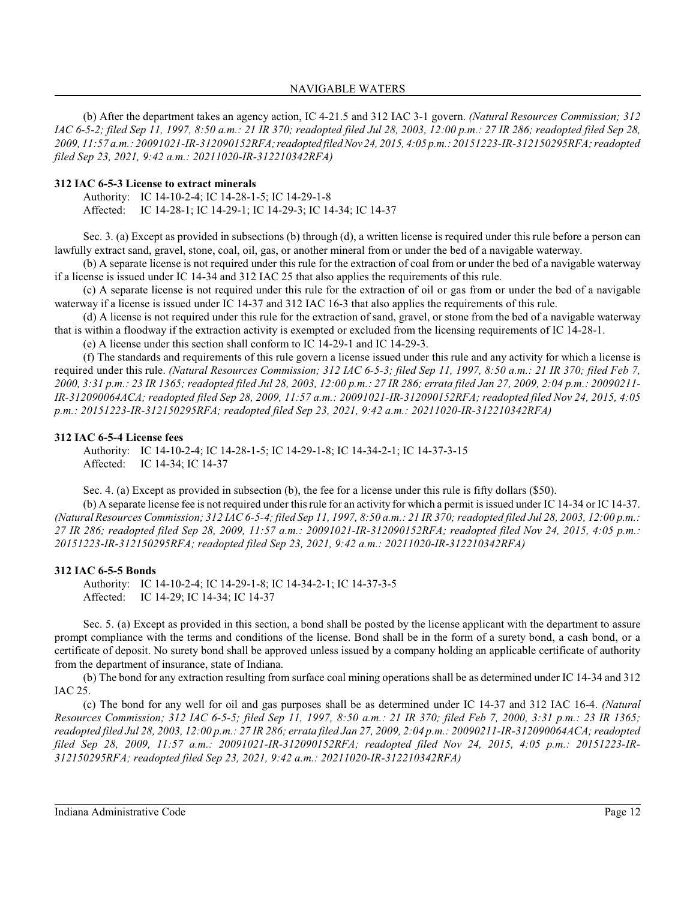(b) After the department takes an agency action, IC 4-21.5 and 312 IAC 3-1 govern. *(Natural Resources Commission; 312 IAC 6-5-2; filed Sep 11, 1997, 8:50 a.m.: 21 IR 370; readopted filed Jul 28, 2003, 12:00 p.m.: 27 IR 286; readopted filed Sep 28, 2009, 11:57 a.m.: 20091021-IR-312090152RFA;readopted filed Nov 24, 2015, 4:05 p.m.: 20151223-IR-312150295RFA; readopted filed Sep 23, 2021, 9:42 a.m.: 20211020-IR-312210342RFA)*

### **312 IAC 6-5-3 License to extract minerals**

Authority: IC 14-10-2-4; IC 14-28-1-5; IC 14-29-1-8 Affected: IC 14-28-1; IC 14-29-1; IC 14-29-3; IC 14-34; IC 14-37

Sec. 3. (a) Except as provided in subsections (b) through (d), a written license is required under this rule before a person can lawfully extract sand, gravel, stone, coal, oil, gas, or another mineral from or under the bed of a navigable waterway.

(b) A separate license is not required under this rule for the extraction of coal from or under the bed of a navigable waterway if a license is issued under IC 14-34 and 312 IAC 25 that also applies the requirements of this rule.

(c) A separate license is not required under this rule for the extraction of oil or gas from or under the bed of a navigable waterway if a license is issued under IC 14-37 and 312 IAC 16-3 that also applies the requirements of this rule.

(d) A license is not required under this rule for the extraction of sand, gravel, or stone from the bed of a navigable waterway that is within a floodway if the extraction activity is exempted or excluded from the licensing requirements of IC 14-28-1.

(e) A license under this section shall conform to IC 14-29-1 and IC 14-29-3.

(f) The standards and requirements of this rule govern a license issued under this rule and any activity for which a license is required under this rule. *(Natural Resources Commission; 312 IAC 6-5-3; filed Sep 11, 1997, 8:50 a.m.: 21 IR 370; filed Feb 7, 2000, 3:31 p.m.: 23 IR 1365; readopted filed Jul 28, 2003, 12:00 p.m.: 27 IR 286; errata filed Jan 27, 2009, 2:04 p.m.: 20090211- IR-312090064ACA; readopted filed Sep 28, 2009, 11:57 a.m.: 20091021-IR-312090152RFA; readopted filed Nov 24, 2015, 4:05 p.m.: 20151223-IR-312150295RFA; readopted filed Sep 23, 2021, 9:42 a.m.: 20211020-IR-312210342RFA)*

#### **312 IAC 6-5-4 License fees**

Authority: IC 14-10-2-4; IC 14-28-1-5; IC 14-29-1-8; IC 14-34-2-1; IC 14-37-3-15 Affected: IC 14-34; IC 14-37

Sec. 4. (a) Except as provided in subsection (b), the fee for a license under this rule is fifty dollars (\$50).

(b) A separate license fee is not required under thisrule for an activity for which a permit is issued under IC 14-34 or IC 14-37. *(Natural Resources Commission; 312 IAC 6-5-4; filed Sep 11, 1997, 8:50 a.m.: 21 IR 370;readopted filed Jul 28, 2003, 12:00 p.m.: 27 IR 286; readopted filed Sep 28, 2009, 11:57 a.m.: 20091021-IR-312090152RFA; readopted filed Nov 24, 2015, 4:05 p.m.: 20151223-IR-312150295RFA; readopted filed Sep 23, 2021, 9:42 a.m.: 20211020-IR-312210342RFA)*

#### **312 IAC 6-5-5 Bonds**

Authority: IC 14-10-2-4; IC 14-29-1-8; IC 14-34-2-1; IC 14-37-3-5 Affected: IC 14-29; IC 14-34; IC 14-37

Sec. 5. (a) Except as provided in this section, a bond shall be posted by the license applicant with the department to assure prompt compliance with the terms and conditions of the license. Bond shall be in the form of a surety bond, a cash bond, or a certificate of deposit. No surety bond shall be approved unless issued by a company holding an applicable certificate of authority from the department of insurance, state of Indiana.

(b) The bond for any extraction resulting from surface coal mining operations shall be as determined under IC 14-34 and 312 IAC 25.

(c) The bond for any well for oil and gas purposes shall be as determined under IC 14-37 and 312 IAC 16-4. *(Natural Resources Commission; 312 IAC 6-5-5; filed Sep 11, 1997, 8:50 a.m.: 21 IR 370; filed Feb 7, 2000, 3:31 p.m.: 23 IR 1365; readopted filed Jul 28, 2003, 12:00 p.m.: 27 IR 286; errata filed Jan 27, 2009, 2:04 p.m.: 20090211-IR-312090064ACA; readopted filed Sep 28, 2009, 11:57 a.m.: 20091021-IR-312090152RFA; readopted filed Nov 24, 2015, 4:05 p.m.: 20151223-IR-312150295RFA; readopted filed Sep 23, 2021, 9:42 a.m.: 20211020-IR-312210342RFA)*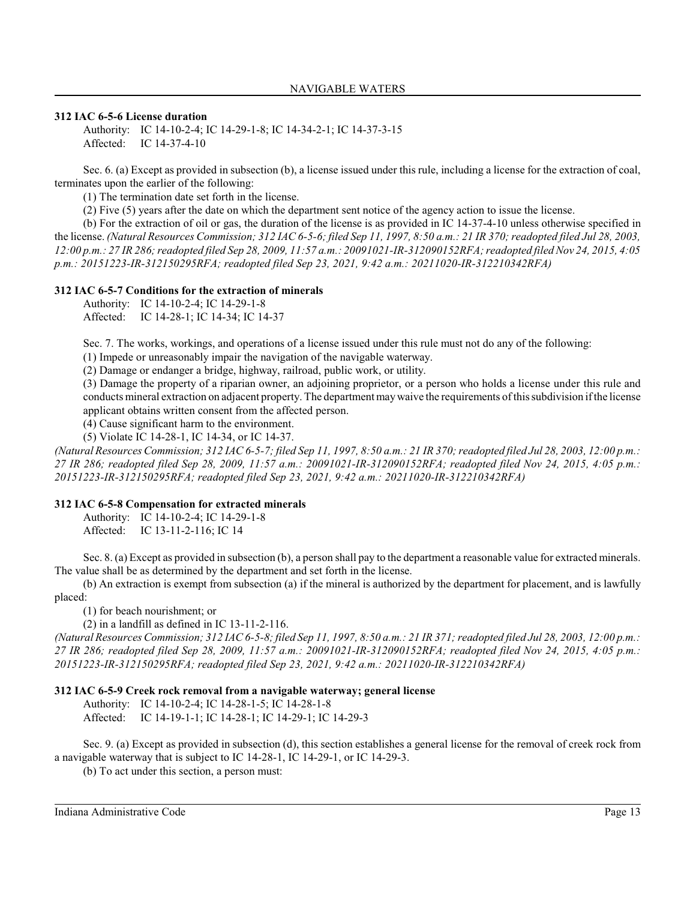### **312 IAC 6-5-6 License duration**

Authority: IC 14-10-2-4; IC 14-29-1-8; IC 14-34-2-1; IC 14-37-3-15 Affected: IC 14-37-4-10

Sec. 6. (a) Except as provided in subsection (b), a license issued under this rule, including a license for the extraction of coal, terminates upon the earlier of the following:

(1) The termination date set forth in the license.

(2) Five (5) years after the date on which the department sent notice of the agency action to issue the license.

(b) For the extraction of oil or gas, the duration of the license is as provided in IC 14-37-4-10 unless otherwise specified in the license. *(Natural Resources Commission; 312 IAC 6-5-6; filed Sep 11, 1997, 8:50 a.m.: 21 IR 370; readopted filed Jul 28, 2003, 12:00 p.m.: 27 IR 286;readopted filed Sep 28, 2009, 11:57 a.m.: 20091021-IR-312090152RFA; readopted filed Nov 24, 2015, 4:05 p.m.: 20151223-IR-312150295RFA; readopted filed Sep 23, 2021, 9:42 a.m.: 20211020-IR-312210342RFA)*

#### **312 IAC 6-5-7 Conditions for the extraction of minerals**

Authority: IC 14-10-2-4; IC 14-29-1-8

Affected: IC 14-28-1; IC 14-34; IC 14-37

Sec. 7. The works, workings, and operations of a license issued under this rule must not do any of the following:

(1) Impede or unreasonably impair the navigation of the navigable waterway.

(2) Damage or endanger a bridge, highway, railroad, public work, or utility.

(3) Damage the property of a riparian owner, an adjoining proprietor, or a person who holds a license under this rule and conducts mineral extraction on adjacent property. The department maywaive the requirements of thissubdivision if the license applicant obtains written consent from the affected person.

(4) Cause significant harm to the environment.

(5) Violate IC 14-28-1, IC 14-34, or IC 14-37.

*(Natural Resources Commission; 312 IAC 6-5-7; filed Sep 11, 1997, 8:50 a.m.: 21 IR 370;readopted filed Jul 28, 2003, 12:00 p.m.: 27 IR 286; readopted filed Sep 28, 2009, 11:57 a.m.: 20091021-IR-312090152RFA; readopted filed Nov 24, 2015, 4:05 p.m.: 20151223-IR-312150295RFA; readopted filed Sep 23, 2021, 9:42 a.m.: 20211020-IR-312210342RFA)*

### **312 IAC 6-5-8 Compensation for extracted minerals**

Authority: IC 14-10-2-4; IC 14-29-1-8 Affected: IC 13-11-2-116; IC 14

Sec. 8. (a) Except as provided in subsection (b), a person shall pay to the department a reasonable value for extracted minerals. The value shall be as determined by the department and set forth in the license.

(b) An extraction is exempt from subsection (a) if the mineral is authorized by the department for placement, and is lawfully placed:

(1) for beach nourishment; or

(2) in a landfill as defined in IC 13-11-2-116.

*(Natural Resources Commission; 312 IAC 6-5-8; filed Sep 11, 1997, 8:50 a.m.: 21 IR 371;readopted filed Jul 28, 2003, 12:00 p.m.: 27 IR 286; readopted filed Sep 28, 2009, 11:57 a.m.: 20091021-IR-312090152RFA; readopted filed Nov 24, 2015, 4:05 p.m.: 20151223-IR-312150295RFA; readopted filed Sep 23, 2021, 9:42 a.m.: 20211020-IR-312210342RFA)*

#### **312 IAC 6-5-9 Creek rock removal from a navigable waterway; general license**

Authority: IC 14-10-2-4; IC 14-28-1-5; IC 14-28-1-8

Affected: IC 14-19-1-1; IC 14-28-1; IC 14-29-1; IC 14-29-3

Sec. 9. (a) Except as provided in subsection (d), this section establishes a general license for the removal of creek rock from a navigable waterway that is subject to IC 14-28-1, IC 14-29-1, or IC 14-29-3.

(b) To act under this section, a person must: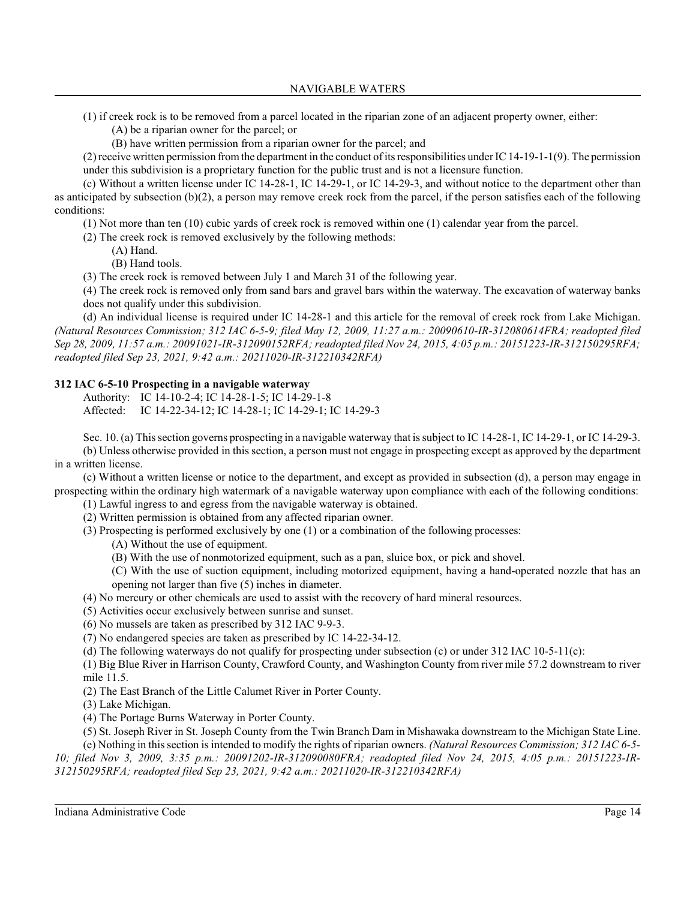(1) if creek rock is to be removed from a parcel located in the riparian zone of an adjacent property owner, either:

- (A) be a riparian owner for the parcel; or
- (B) have written permission from a riparian owner for the parcel; and

 $(2)$  receive written permission from the department in the conduct of its responsibilities under IC 14-19-1-1(9). The permission under this subdivision is a proprietary function for the public trust and is not a licensure function.

(c) Without a written license under IC 14-28-1, IC 14-29-1, or IC 14-29-3, and without notice to the department other than as anticipated by subsection (b)(2), a person may remove creek rock from the parcel, if the person satisfies each of the following conditions:

(1) Not more than ten (10) cubic yards of creek rock is removed within one (1) calendar year from the parcel.

- (2) The creek rock is removed exclusively by the following methods:
	- (A) Hand.
	- (B) Hand tools.

(3) The creek rock is removed between July 1 and March 31 of the following year.

(4) The creek rock is removed only from sand bars and gravel bars within the waterway. The excavation of waterway banks does not qualify under this subdivision.

(d) An individual license is required under IC 14-28-1 and this article for the removal of creek rock from Lake Michigan. *(Natural Resources Commission; 312 IAC 6-5-9; filed May 12, 2009, 11:27 a.m.: 20090610-IR-312080614FRA; readopted filed Sep 28, 2009, 11:57 a.m.: 20091021-IR-312090152RFA; readopted filed Nov 24, 2015, 4:05 p.m.: 20151223-IR-312150295RFA; readopted filed Sep 23, 2021, 9:42 a.m.: 20211020-IR-312210342RFA)*

## **312 IAC 6-5-10 Prospecting in a navigable waterway**

Authority: IC 14-10-2-4; IC 14-28-1-5; IC 14-29-1-8 Affected: IC 14-22-34-12; IC 14-28-1; IC 14-29-1; IC 14-29-3

Sec. 10. (a) Thissection governs prospecting in a navigable waterway that is subject to IC 14-28-1, IC 14-29-1, or IC 14-29-3. (b) Unless otherwise provided in this section, a person must not engage in prospecting except as approved by the department in a written license.

(c) Without a written license or notice to the department, and except as provided in subsection (d), a person may engage in prospecting within the ordinary high watermark of a navigable waterway upon compliance with each of the following conditions:

(1) Lawful ingress to and egress from the navigable waterway is obtained.

(2) Written permission is obtained from any affected riparian owner.

(3) Prospecting is performed exclusively by one (1) or a combination of the following processes:

- (A) Without the use of equipment.
- (B) With the use of nonmotorized equipment, such as a pan, sluice box, or pick and shovel.

(C) With the use of suction equipment, including motorized equipment, having a hand-operated nozzle that has an opening not larger than five (5) inches in diameter.

(4) No mercury or other chemicals are used to assist with the recovery of hard mineral resources.

(5) Activities occur exclusively between sunrise and sunset.

(6) No mussels are taken as prescribed by 312 IAC 9-9-3.

(7) No endangered species are taken as prescribed by IC 14-22-34-12.

(d) The following waterways do not qualify for prospecting under subsection (c) or under 312 IAC 10-5-11(c):

(1) Big Blue River in Harrison County, Crawford County, and Washington County from river mile 57.2 downstream to river mile 11.5.

(2) The East Branch of the Little Calumet River in Porter County.

(3) Lake Michigan.

(4) The Portage Burns Waterway in Porter County.

(5) St. Joseph River in St. Joseph County from the Twin Branch Dam in Mishawaka downstream to the Michigan State Line.

(e) Nothing in thissection is intended to modify the rights of riparian owners. *(Natural Resources Commission; 312 IAC 6-5- 10; filed Nov 3, 2009, 3:35 p.m.: 20091202-IR-312090080FRA; readopted filed Nov 24, 2015, 4:05 p.m.: 20151223-IR-312150295RFA; readopted filed Sep 23, 2021, 9:42 a.m.: 20211020-IR-312210342RFA)*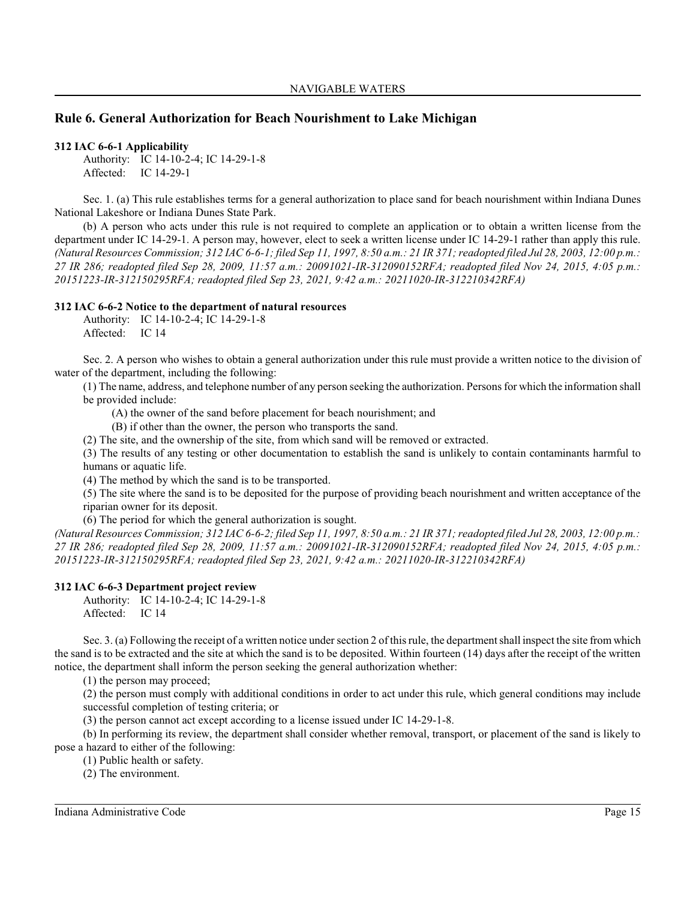# **Rule 6. General Authorization for Beach Nourishment to Lake Michigan**

#### **312 IAC 6-6-1 Applicability**

Authority: IC 14-10-2-4; IC 14-29-1-8 Affected: IC 14-29-1

Sec. 1. (a) This rule establishes terms for a general authorization to place sand for beach nourishment within Indiana Dunes National Lakeshore or Indiana Dunes State Park.

(b) A person who acts under this rule is not required to complete an application or to obtain a written license from the department under IC 14-29-1. A person may, however, elect to seek a written license under IC 14-29-1 rather than apply this rule. *(Natural Resources Commission; 312 IAC 6-6-1; filed Sep 11, 1997, 8:50 a.m.: 21 IR 371;readopted filed Jul 28, 2003, 12:00 p.m.: 27 IR 286; readopted filed Sep 28, 2009, 11:57 a.m.: 20091021-IR-312090152RFA; readopted filed Nov 24, 2015, 4:05 p.m.: 20151223-IR-312150295RFA; readopted filed Sep 23, 2021, 9:42 a.m.: 20211020-IR-312210342RFA)*

### **312 IAC 6-6-2 Notice to the department of natural resources**

Authority: IC 14-10-2-4; IC 14-29-1-8 Affected: IC 14

Sec. 2. A person who wishes to obtain a general authorization under this rule must provide a written notice to the division of water of the department, including the following:

(1) The name, address, and telephone number of any person seeking the authorization. Persons for which the information shall be provided include:

(A) the owner of the sand before placement for beach nourishment; and

(B) if other than the owner, the person who transports the sand.

(2) The site, and the ownership of the site, from which sand will be removed or extracted.

(3) The results of any testing or other documentation to establish the sand is unlikely to contain contaminants harmful to humans or aquatic life.

(4) The method by which the sand is to be transported.

(5) The site where the sand is to be deposited for the purpose of providing beach nourishment and written acceptance of the riparian owner for its deposit.

(6) The period for which the general authorization is sought.

*(Natural Resources Commission; 312 IAC 6-6-2; filed Sep 11, 1997, 8:50 a.m.: 21 IR 371;readopted filed Jul 28, 2003, 12:00 p.m.: 27 IR 286; readopted filed Sep 28, 2009, 11:57 a.m.: 20091021-IR-312090152RFA; readopted filed Nov 24, 2015, 4:05 p.m.: 20151223-IR-312150295RFA; readopted filed Sep 23, 2021, 9:42 a.m.: 20211020-IR-312210342RFA)*

### **312 IAC 6-6-3 Department project review**

Authority: IC 14-10-2-4; IC 14-29-1-8 Affected: IC 14

Sec. 3. (a) Following the receipt of a written notice under section 2 of this rule, the department shall inspect the site from which the sand is to be extracted and the site at which the sand is to be deposited. Within fourteen (14) days after the receipt of the written notice, the department shall inform the person seeking the general authorization whether:

(1) the person may proceed;

(2) the person must comply with additional conditions in order to act under this rule, which general conditions may include successful completion of testing criteria; or

(3) the person cannot act except according to a license issued under IC 14-29-1-8.

(b) In performing its review, the department shall consider whether removal, transport, or placement of the sand is likely to pose a hazard to either of the following:

(1) Public health or safety.

(2) The environment.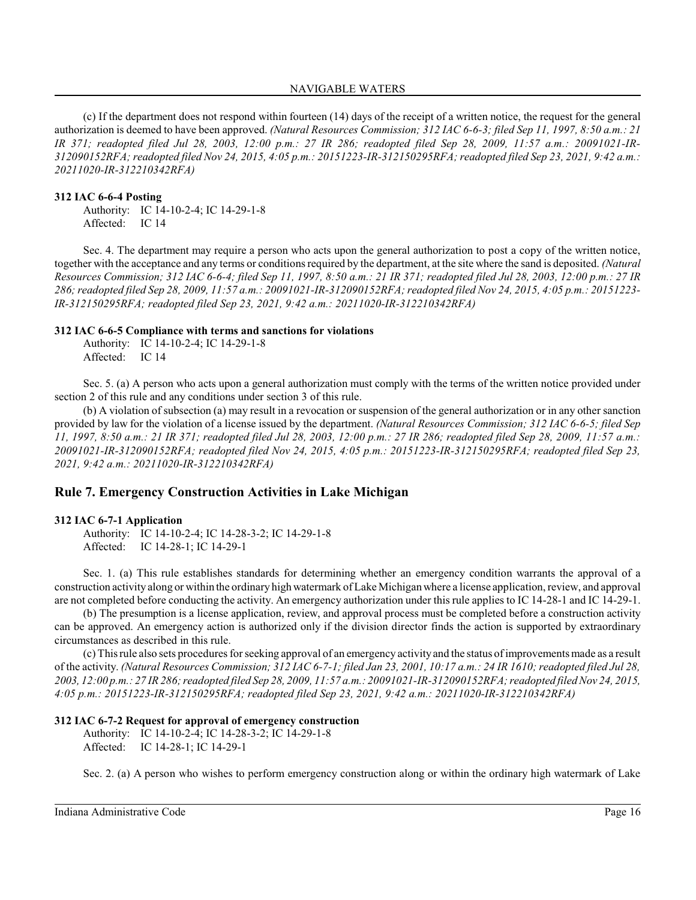(c) If the department does not respond within fourteen (14) days of the receipt of a written notice, the request for the general authorization is deemed to have been approved. *(Natural Resources Commission; 312 IAC 6-6-3; filed Sep 11, 1997, 8:50 a.m.: 21 IR 371; readopted filed Jul 28, 2003, 12:00 p.m.: 27 IR 286; readopted filed Sep 28, 2009, 11:57 a.m.: 20091021-IR-312090152RFA; readopted filed Nov 24, 2015, 4:05 p.m.: 20151223-IR-312150295RFA; readopted filed Sep 23, 2021, 9:42 a.m.: 20211020-IR-312210342RFA)*

#### **312 IAC 6-6-4 Posting**

Authority: IC 14-10-2-4; IC 14-29-1-8 Affected: IC 14

Sec. 4. The department may require a person who acts upon the general authorization to post a copy of the written notice, together with the acceptance and any terms or conditions required by the department, at the site where the sand is deposited. *(Natural Resources Commission; 312 IAC 6-6-4; filed Sep 11, 1997, 8:50 a.m.: 21 IR 371; readopted filed Jul 28, 2003, 12:00 p.m.: 27 IR 286;readopted filed Sep 28, 2009, 11:57 a.m.: 20091021-IR-312090152RFA; readopted filed Nov 24, 2015, 4:05 p.m.: 20151223- IR-312150295RFA; readopted filed Sep 23, 2021, 9:42 a.m.: 20211020-IR-312210342RFA)*

### **312 IAC 6-6-5 Compliance with terms and sanctions for violations**

Authority: IC 14-10-2-4; IC 14-29-1-8 Affected: IC 14

Sec. 5. (a) A person who acts upon a general authorization must comply with the terms of the written notice provided under section 2 of this rule and any conditions under section 3 of this rule.

(b) A violation of subsection (a) may result in a revocation or suspension of the general authorization or in any other sanction provided by law for the violation of a license issued by the department. *(Natural Resources Commission; 312 IAC 6-6-5; filed Sep 11, 1997, 8:50 a.m.: 21 IR 371; readopted filed Jul 28, 2003, 12:00 p.m.: 27 IR 286; readopted filed Sep 28, 2009, 11:57 a.m.: 20091021-IR-312090152RFA; readopted filed Nov 24, 2015, 4:05 p.m.: 20151223-IR-312150295RFA; readopted filed Sep 23, 2021, 9:42 a.m.: 20211020-IR-312210342RFA)*

### **Rule 7. Emergency Construction Activities in Lake Michigan**

### **312 IAC 6-7-1 Application**

Authority: IC 14-10-2-4; IC 14-28-3-2; IC 14-29-1-8 Affected: IC 14-28-1; IC 14-29-1

Sec. 1. (a) This rule establishes standards for determining whether an emergency condition warrants the approval of a construction activity along or within the ordinary high watermark of Lake Michiganwhere a license application, review, and approval are not completed before conducting the activity. An emergency authorization under thisrule applies to IC 14-28-1 and IC 14-29-1.

(b) The presumption is a license application, review, and approval process must be completed before a construction activity can be approved. An emergency action is authorized only if the division director finds the action is supported by extraordinary circumstances as described in this rule.

(c) Thisrule also sets procedures for seeking approval of an emergency activity and the status of improvements made as a result of the activity. *(Natural Resources Commission; 312 IAC 6-7-1; filed Jan 23, 2001, 10:17 a.m.: 24 IR 1610; readopted filed Jul 28, 2003, 12:00 p.m.: 27 IR 286;readopted filed Sep 28, 2009, 11:57 a.m.: 20091021-IR-312090152RFA; readopted filed Nov 24, 2015, 4:05 p.m.: 20151223-IR-312150295RFA; readopted filed Sep 23, 2021, 9:42 a.m.: 20211020-IR-312210342RFA)*

### **312 IAC 6-7-2 Request for approval of emergency construction**

Authority: IC 14-10-2-4; IC 14-28-3-2; IC 14-29-1-8 Affected: IC 14-28-1; IC 14-29-1

Sec. 2. (a) A person who wishes to perform emergency construction along or within the ordinary high watermark of Lake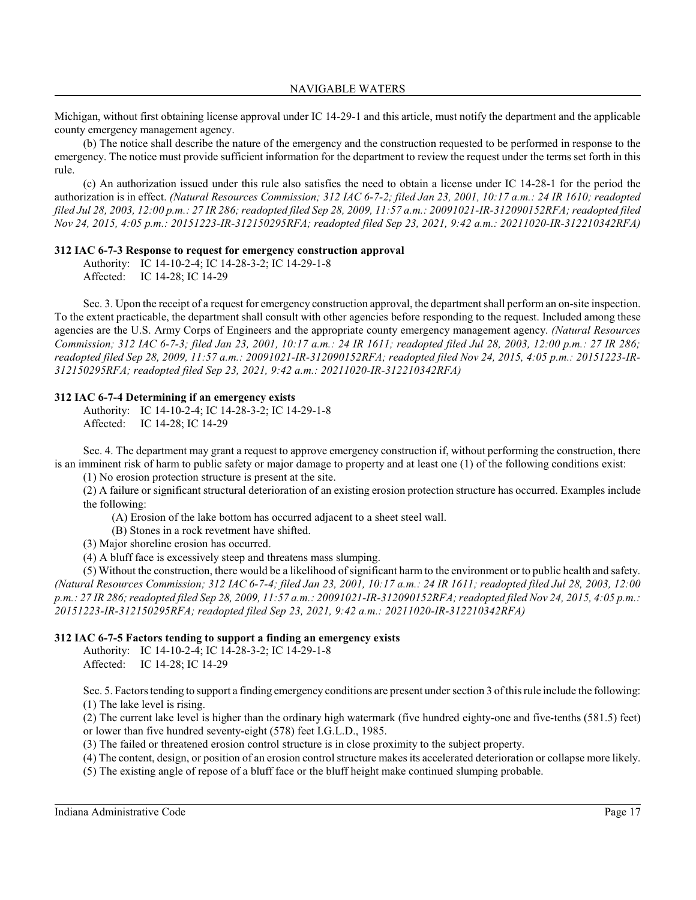Michigan, without first obtaining license approval under IC 14-29-1 and this article, must notify the department and the applicable county emergency management agency.

(b) The notice shall describe the nature of the emergency and the construction requested to be performed in response to the emergency. The notice must provide sufficient information for the department to review the request under the terms set forth in this rule.

(c) An authorization issued under this rule also satisfies the need to obtain a license under IC 14-28-1 for the period the authorization is in effect. *(Natural Resources Commission; 312 IAC 6-7-2; filed Jan 23, 2001, 10:17 a.m.: 24 IR 1610; readopted filed Jul 28, 2003, 12:00 p.m.: 27 IR 286;readopted filed Sep 28, 2009, 11:57 a.m.: 20091021-IR-312090152RFA; readopted filed Nov 24, 2015, 4:05 p.m.: 20151223-IR-312150295RFA; readopted filed Sep 23, 2021, 9:42 a.m.: 20211020-IR-312210342RFA)*

### **312 IAC 6-7-3 Response to request for emergency construction approval**

Authority: IC 14-10-2-4; IC 14-28-3-2; IC 14-29-1-8 Affected: IC 14-28; IC 14-29

Sec. 3. Upon the receipt of a request for emergency construction approval, the department shall perform an on-site inspection. To the extent practicable, the department shall consult with other agencies before responding to the request. Included among these agencies are the U.S. Army Corps of Engineers and the appropriate county emergency management agency. *(Natural Resources Commission; 312 IAC 6-7-3; filed Jan 23, 2001, 10:17 a.m.: 24 IR 1611; readopted filed Jul 28, 2003, 12:00 p.m.: 27 IR 286; readopted filed Sep 28, 2009, 11:57 a.m.: 20091021-IR-312090152RFA; readopted filed Nov 24, 2015, 4:05 p.m.: 20151223-IR-312150295RFA; readopted filed Sep 23, 2021, 9:42 a.m.: 20211020-IR-312210342RFA)*

### **312 IAC 6-7-4 Determining if an emergency exists**

Authority: IC 14-10-2-4; IC 14-28-3-2; IC 14-29-1-8 Affected: IC 14-28; IC 14-29

Sec. 4. The department may grant a request to approve emergency construction if, without performing the construction, there is an imminent risk of harm to public safety or major damage to property and at least one (1) of the following conditions exist:

(1) No erosion protection structure is present at the site.

(2) A failure or significant structural deterioration of an existing erosion protection structure has occurred. Examples include the following:

(A) Erosion of the lake bottom has occurred adjacent to a sheet steel wall.

(B) Stones in a rock revetment have shifted.

(3) Major shoreline erosion has occurred.

(4) A bluff face is excessively steep and threatens mass slumping.

(5) Without the construction, there would be a likelihood of significant harm to the environment or to public health and safety. *(Natural Resources Commission; 312 IAC 6-7-4; filed Jan 23, 2001, 10:17 a.m.: 24 IR 1611; readopted filed Jul 28, 2003, 12:00 p.m.: 27 IR 286;readopted filed Sep 28, 2009, 11:57 a.m.: 20091021-IR-312090152RFA; readopted filed Nov 24, 2015, 4:05 p.m.: 20151223-IR-312150295RFA; readopted filed Sep 23, 2021, 9:42 a.m.: 20211020-IR-312210342RFA)*

### **312 IAC 6-7-5 Factors tending to support a finding an emergency exists**

Authority: IC 14-10-2-4; IC 14-28-3-2; IC 14-29-1-8 Affected: IC 14-28; IC 14-29

Sec. 5. Factors tending to support a finding emergency conditions are present under section 3 of this rule include the following: (1) The lake level is rising.

(2) The current lake level is higher than the ordinary high watermark (five hundred eighty-one and five-tenths (581.5) feet) or lower than five hundred seventy-eight (578) feet I.G.L.D., 1985.

(3) The failed or threatened erosion control structure is in close proximity to the subject property.

(4) The content, design, or position of an erosion control structure makes its accelerated deterioration or collapse more likely.

(5) The existing angle of repose of a bluff face or the bluff height make continued slumping probable.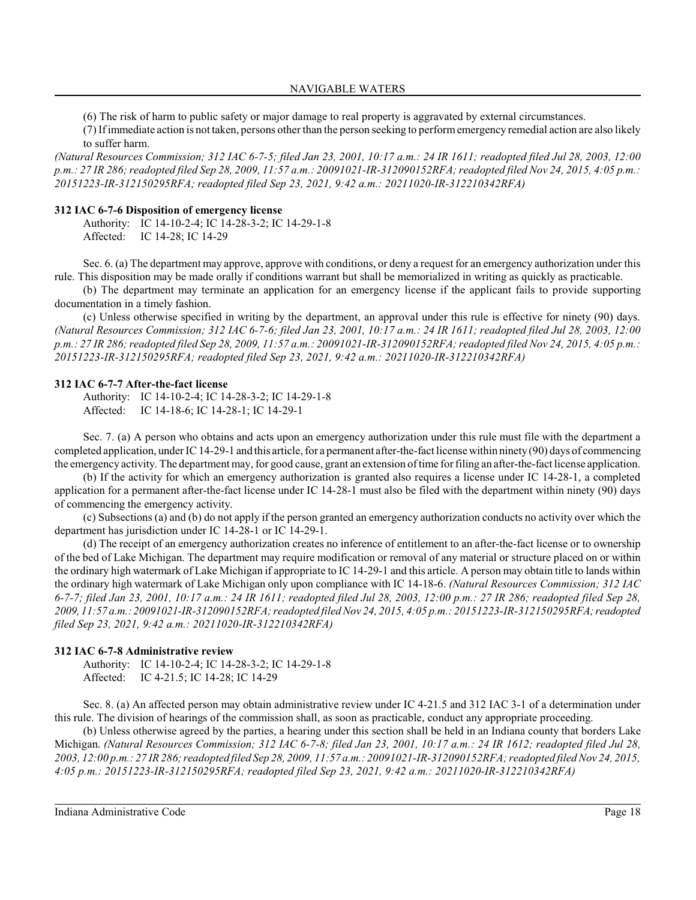(6) The risk of harm to public safety or major damage to real property is aggravated by external circumstances.

(7) If immediate action is not taken, persons other than the person seeking to performemergency remedial action are also likely to suffer harm.

*(Natural Resources Commission; 312 IAC 6-7-5; filed Jan 23, 2001, 10:17 a.m.: 24 IR 1611; readopted filed Jul 28, 2003, 12:00 p.m.: 27 IR 286;readopted filed Sep 28, 2009, 11:57 a.m.: 20091021-IR-312090152RFA; readopted filed Nov 24, 2015, 4:05 p.m.: 20151223-IR-312150295RFA; readopted filed Sep 23, 2021, 9:42 a.m.: 20211020-IR-312210342RFA)*

### **312 IAC 6-7-6 Disposition of emergency license**

Authority: IC 14-10-2-4; IC 14-28-3-2; IC 14-29-1-8 Affected: IC 14-28; IC 14-29

Sec. 6. (a) The department may approve, approve with conditions, or deny a request for an emergency authorization under this rule. This disposition may be made orally if conditions warrant but shall be memorialized in writing as quickly as practicable.

(b) The department may terminate an application for an emergency license if the applicant fails to provide supporting documentation in a timely fashion.

(c) Unless otherwise specified in writing by the department, an approval under this rule is effective for ninety (90) days. *(Natural Resources Commission; 312 IAC 6-7-6; filed Jan 23, 2001, 10:17 a.m.: 24 IR 1611; readopted filed Jul 28, 2003, 12:00 p.m.: 27 IR 286;readopted filed Sep 28, 2009, 11:57 a.m.: 20091021-IR-312090152RFA; readopted filed Nov 24, 2015, 4:05 p.m.: 20151223-IR-312150295RFA; readopted filed Sep 23, 2021, 9:42 a.m.: 20211020-IR-312210342RFA)*

#### **312 IAC 6-7-7 After-the-fact license**

Authority: IC 14-10-2-4; IC 14-28-3-2; IC 14-29-1-8 Affected: IC 14-18-6; IC 14-28-1; IC 14-29-1

Sec. 7. (a) A person who obtains and acts upon an emergency authorization under this rule must file with the department a completed application, underIC 14-29-1 and this article, for a permanent after-the-fact license within ninety (90) days of commencing the emergency activity. The department may, for good cause, grant an extension of time for filing an after-the-fact license application.

(b) If the activity for which an emergency authorization is granted also requires a license under IC 14-28-1, a completed application for a permanent after-the-fact license under IC 14-28-1 must also be filed with the department within ninety (90) days of commencing the emergency activity.

(c) Subsections (a) and (b) do not apply if the person granted an emergency authorization conducts no activity over which the department has jurisdiction under IC 14-28-1 or IC 14-29-1.

(d) The receipt of an emergency authorization creates no inference of entitlement to an after-the-fact license or to ownership of the bed of Lake Michigan. The department may require modification or removal of any material or structure placed on or within the ordinary high watermark of Lake Michigan if appropriate to IC 14-29-1 and this article. A person may obtain title to lands within the ordinary high watermark of Lake Michigan only upon compliance with IC 14-18-6. *(Natural Resources Commission; 312 IAC 6-7-7; filed Jan 23, 2001, 10:17 a.m.: 24 IR 1611; readopted filed Jul 28, 2003, 12:00 p.m.: 27 IR 286; readopted filed Sep 28, 2009, 11:57 a.m.:20091021-IR-312090152RFA; readopted filed Nov 24, 2015, 4:05 p.m.: 20151223-IR-312150295RFA; readopted filed Sep 23, 2021, 9:42 a.m.: 20211020-IR-312210342RFA)*

### **312 IAC 6-7-8 Administrative review**

Authority: IC 14-10-2-4; IC 14-28-3-2; IC 14-29-1-8 Affected: IC 4-21.5; IC 14-28; IC 14-29

Sec. 8. (a) An affected person may obtain administrative review under IC 4-21.5 and 312 IAC 3-1 of a determination under this rule. The division of hearings of the commission shall, as soon as practicable, conduct any appropriate proceeding.

(b) Unless otherwise agreed by the parties, a hearing under this section shall be held in an Indiana county that borders Lake Michigan. *(Natural Resources Commission; 312 IAC 6-7-8; filed Jan 23, 2001, 10:17 a.m.: 24 IR 1612; readopted filed Jul 28, 2003, 12:00 p.m.: 27 IR 286;readopted filed Sep 28, 2009, 11:57 a.m.: 20091021-IR-312090152RFA; readopted filed Nov 24, 2015, 4:05 p.m.: 20151223-IR-312150295RFA; readopted filed Sep 23, 2021, 9:42 a.m.: 20211020-IR-312210342RFA)*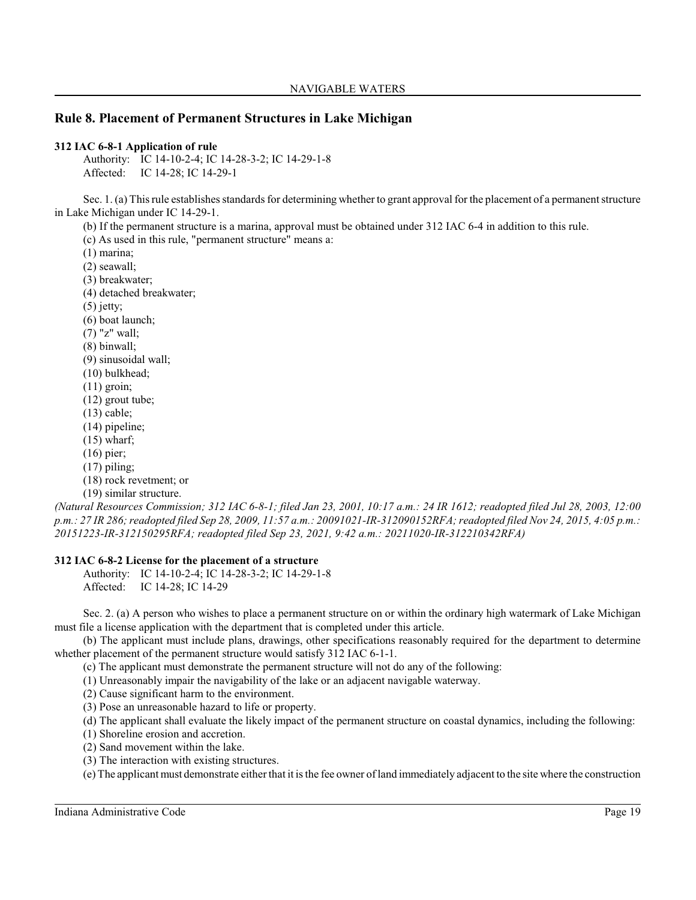# **Rule 8. Placement of Permanent Structures in Lake Michigan**

### **312 IAC 6-8-1 Application of rule**

Authority: IC 14-10-2-4; IC 14-28-3-2; IC 14-29-1-8 Affected: IC 14-28; IC 14-29-1

Sec. 1. (a) Thisrule establishes standards for determining whether to grant approval for the placement of a permanent structure in Lake Michigan under IC 14-29-1.

(b) If the permanent structure is a marina, approval must be obtained under 312 IAC 6-4 in addition to this rule.

(c) As used in this rule, "permanent structure" means a:

(1) marina;

(2) seawall;

(3) breakwater;

(4) detached breakwater;

(5) jetty;

(6) boat launch;

(7) "z" wall;

(8) binwall;

(9) sinusoidal wall;

- (10) bulkhead;
- $(11)$  groin;
- (12) grout tube;
- (13) cable;
- (14) pipeline;
- $(15)$  wharf;
- (16) pier;
- $(17)$  piling;

(18) rock revetment; or

(19) similar structure.

*(Natural Resources Commission; 312 IAC 6-8-1; filed Jan 23, 2001, 10:17 a.m.: 24 IR 1612; readopted filed Jul 28, 2003, 12:00 p.m.: 27 IR 286;readopted filed Sep 28, 2009, 11:57 a.m.: 20091021-IR-312090152RFA; readopted filed Nov 24, 2015, 4:05 p.m.: 20151223-IR-312150295RFA; readopted filed Sep 23, 2021, 9:42 a.m.: 20211020-IR-312210342RFA)*

### **312 IAC 6-8-2 License for the placement of a structure**

Authority: IC 14-10-2-4; IC 14-28-3-2; IC 14-29-1-8 Affected: IC 14-28; IC 14-29

Sec. 2. (a) A person who wishes to place a permanent structure on or within the ordinary high watermark of Lake Michigan must file a license application with the department that is completed under this article.

(b) The applicant must include plans, drawings, other specifications reasonably required for the department to determine whether placement of the permanent structure would satisfy 312 IAC 6-1-1.

(c) The applicant must demonstrate the permanent structure will not do any of the following:

(1) Unreasonably impair the navigability of the lake or an adjacent navigable waterway.

(2) Cause significant harm to the environment.

(3) Pose an unreasonable hazard to life or property.

(d) The applicant shall evaluate the likely impact of the permanent structure on coastal dynamics, including the following:

(1) Shoreline erosion and accretion.

(2) Sand movement within the lake.

(3) The interaction with existing structures.

(e) The applicant must demonstrate either that it is the fee owner of land immediately adjacent to the site where the construction